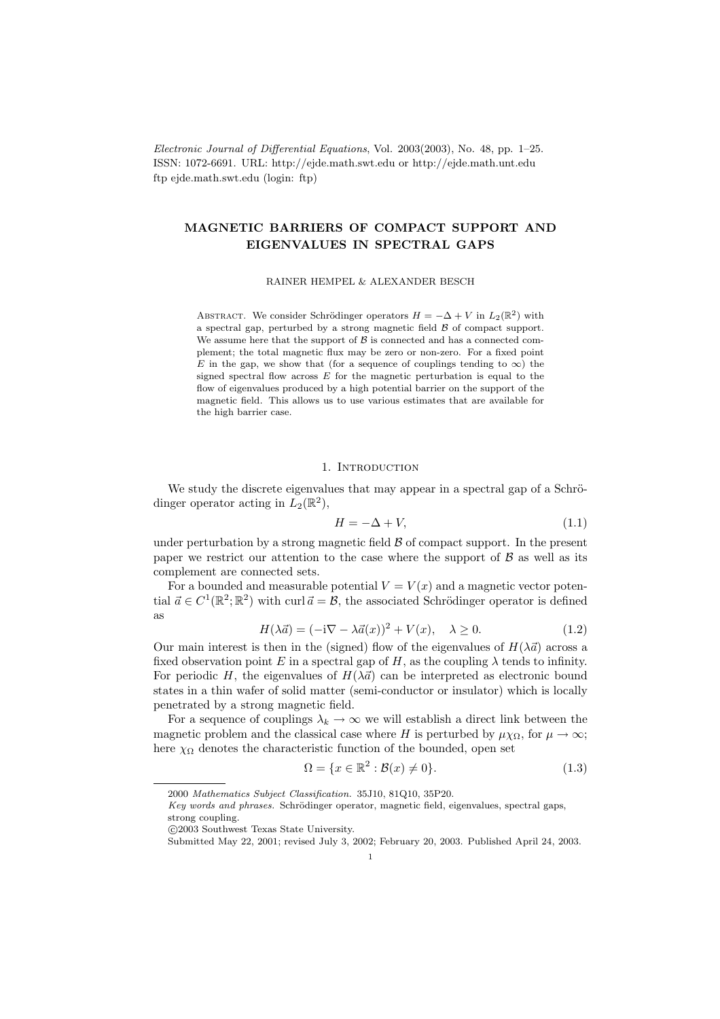Electronic Journal of Differential Equations, Vol. 2003(2003), No. 48, pp. 1–25. ISSN: 1072-6691. URL: http://ejde.math.swt.edu or http://ejde.math.unt.edu ftp ejde.math.swt.edu (login: ftp)

# MAGNETIC BARRIERS OF COMPACT SUPPORT AND EIGENVALUES IN SPECTRAL GAPS

RAINER HEMPEL & ALEXANDER BESCH

ABSTRACT. We consider Schrödinger operators  $H = -\Delta + V$  in  $L_2(\mathbb{R}^2)$  with a spectral gap, perturbed by a strong magnetic field  $\beta$  of compact support. We assume here that the support of  $\beta$  is connected and has a connected complement; the total magnetic flux may be zero or non-zero. For a fixed point E in the gap, we show that (for a sequence of couplings tending to  $\infty$ ) the signed spectral flow across  $E$  for the magnetic perturbation is equal to the flow of eigenvalues produced by a high potential barrier on the support of the magnetic field. This allows us to use various estimates that are available for the high barrier case.

#### 1. INTRODUCTION

We study the discrete eigenvalues that may appear in a spectral gap of a Schrödinger operator acting in  $L_2(\mathbb{R}^2)$ ,

$$
H = -\Delta + V,\tag{1.1}
$$

under perturbation by a strong magnetic field  $\beta$  of compact support. In the present paper we restrict our attention to the case where the support of  $\beta$  as well as its complement are connected sets.

For a bounded and measurable potential  $V = V(x)$  and a magnetic vector potential  $\vec{a} \in C^1(\mathbb{R}^2; \mathbb{R}^2)$  with curl  $\vec{a} = \mathcal{B}$ , the associated Schrödinger operator is defined as

$$
H(\lambda \vec{a}) = (-i\nabla - \lambda \vec{a}(x))^2 + V(x), \quad \lambda \ge 0.
$$
 (1.2)

Our main interest is then in the (signed) flow of the eigenvalues of  $H(\lambda \vec{a})$  across a fixed observation point E in a spectral gap of H, as the coupling  $\lambda$  tends to infinity. For periodic H, the eigenvalues of  $H(\lambda \vec{a})$  can be interpreted as electronic bound states in a thin wafer of solid matter (semi-conductor or insulator) which is locally penetrated by a strong magnetic field.

For a sequence of couplings  $\lambda_k \to \infty$  we will establish a direct link between the magnetic problem and the classical case where H is perturbed by  $\mu \chi_{\Omega}$ , for  $\mu \to \infty$ ; here  $\chi_{\Omega}$  denotes the characteristic function of the bounded, open set

$$
\Omega = \{x \in \mathbb{R}^2 : \mathcal{B}(x) \neq 0\}.
$$
\n(1.3)

<sup>2000</sup> Mathematics Subject Classification. 35J10, 81Q10, 35P20.

Key words and phrases. Schrödinger operator, magnetic field, eigenvalues, spectral gaps, strong coupling.

c 2003 Southwest Texas State University.

Submitted May 22, 2001; revised July 3, 2002; February 20, 2003. Published April 24, 2003.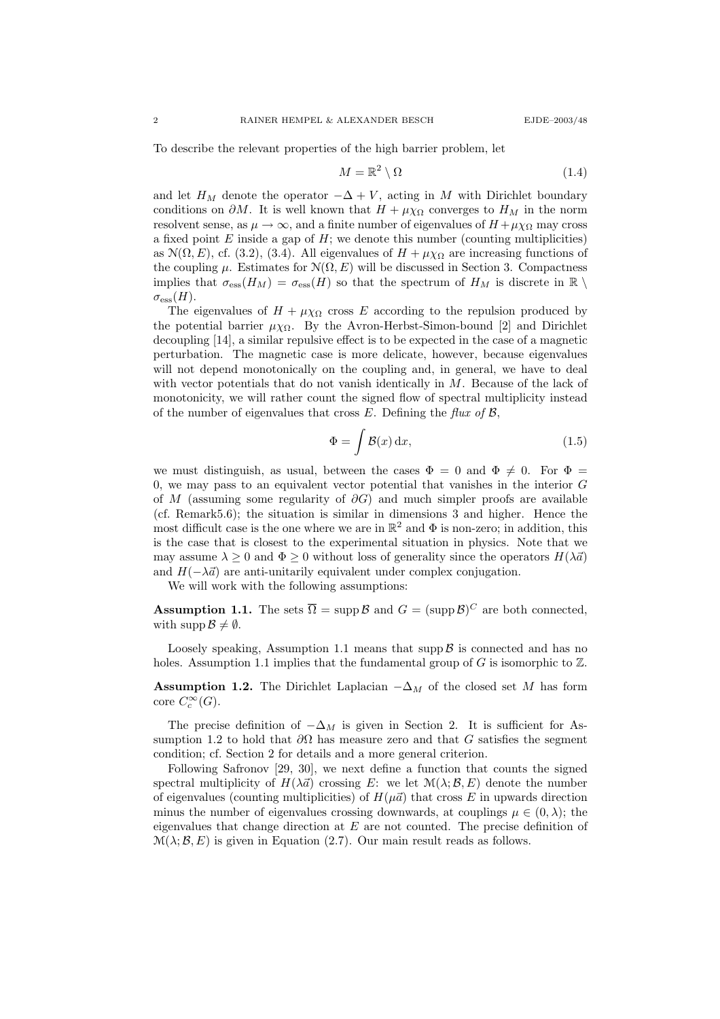To describe the relevant properties of the high barrier problem, let

$$
M = \mathbb{R}^2 \setminus \Omega \tag{1.4}
$$

and let  $H_M$  denote the operator  $-\Delta + V$ , acting in M with Dirichlet boundary conditions on  $\partial M$ . It is well known that  $H + \mu \chi_{\Omega}$  converges to  $H_M$  in the norm resolvent sense, as  $\mu \to \infty$ , and a finite number of eigenvalues of  $H + \mu \chi_{\Omega}$  may cross a fixed point  $E$  inside a gap of  $H$ ; we denote this number (counting multiplicities) as  $\mathcal{N}(\Omega, E)$ , cf. (3.2), (3.4). All eigenvalues of  $H + \mu \chi_{\Omega}$  are increasing functions of the coupling  $\mu$ . Estimates for  $\mathcal{N}(\Omega, E)$  will be discussed in Section 3. Compactness implies that  $\sigma_{\rm ess}(H_M) = \sigma_{\rm ess}(H)$  so that the spectrum of  $H_M$  is discrete in  $\mathbb{R} \setminus$  $\sigma_{\text{ess}}(H)$ .

The eigenvalues of  $H + \mu \chi_{\Omega}$  cross E according to the repulsion produced by the potential barrier  $\mu \chi_{\Omega}$ . By the Avron-Herbst-Simon-bound [2] and Dirichlet decoupling [14], a similar repulsive effect is to be expected in the case of a magnetic perturbation. The magnetic case is more delicate, however, because eigenvalues will not depend monotonically on the coupling and, in general, we have to deal with vector potentials that do not vanish identically in  $M$ . Because of the lack of monotonicity, we will rather count the signed flow of spectral multiplicity instead of the number of eigenvalues that cross  $E$ . Defining the flux of  $\mathcal{B}$ ,

$$
\Phi = \int \mathcal{B}(x) \, \mathrm{d}x,\tag{1.5}
$$

we must distinguish, as usual, between the cases  $\Phi = 0$  and  $\Phi \neq 0$ . For  $\Phi =$ 0, we may pass to an equivalent vector potential that vanishes in the interior  $G$ of M (assuming some regularity of  $\partial G$ ) and much simpler proofs are available (cf. Remark5.6); the situation is similar in dimensions 3 and higher. Hence the most difficult case is the one where we are in  $\mathbb{R}^2$  and  $\Phi$  is non-zero; in addition, this is the case that is closest to the experimental situation in physics. Note that we may assume  $\lambda \geq 0$  and  $\Phi \geq 0$  without loss of generality since the operators  $H(\lambda \vec{a})$ and  $H(-\lambda \vec{a})$  are anti-unitarily equivalent under complex conjugation.

We will work with the following assumptions:

**Assumption 1.1.** The sets  $\overline{\Omega} = \text{supp }\mathcal{B}$  and  $G = (\text{supp }\mathcal{B})^C$  are both connected, with supp  $\mathcal{B} \neq \emptyset$ .

Loosely speaking, Assumption 1.1 means that supp  $\beta$  is connected and has no holes. Assumption 1.1 implies that the fundamental group of  $G$  is isomorphic to  $\mathbb{Z}$ .

Assumption 1.2. The Dirichlet Laplacian  $-\Delta_M$  of the closed set M has form core  $C_c^{\infty}(G)$ .

The precise definition of  $-\Delta_M$  is given in Section 2. It is sufficient for Assumption 1.2 to hold that  $\partial\Omega$  has measure zero and that G satisfies the segment condition; cf. Section 2 for details and a more general criterion.

Following Safronov [29, 30], we next define a function that counts the signed spectral multiplicity of  $H(\lambda \vec{a})$  crossing E: we let  $\mathcal{M}(\lambda; \mathcal{B}, E)$  denote the number of eigenvalues (counting multiplicities) of  $H(\mu\vec{a})$  that cross E in upwards direction minus the number of eigenvalues crossing downwards, at couplings  $\mu \in (0, \lambda)$ ; the eigenvalues that change direction at  $E$  are not counted. The precise definition of  $\mathcal{M}(\lambda;\mathcal{B},E)$  is given in Equation (2.7). Our main result reads as follows.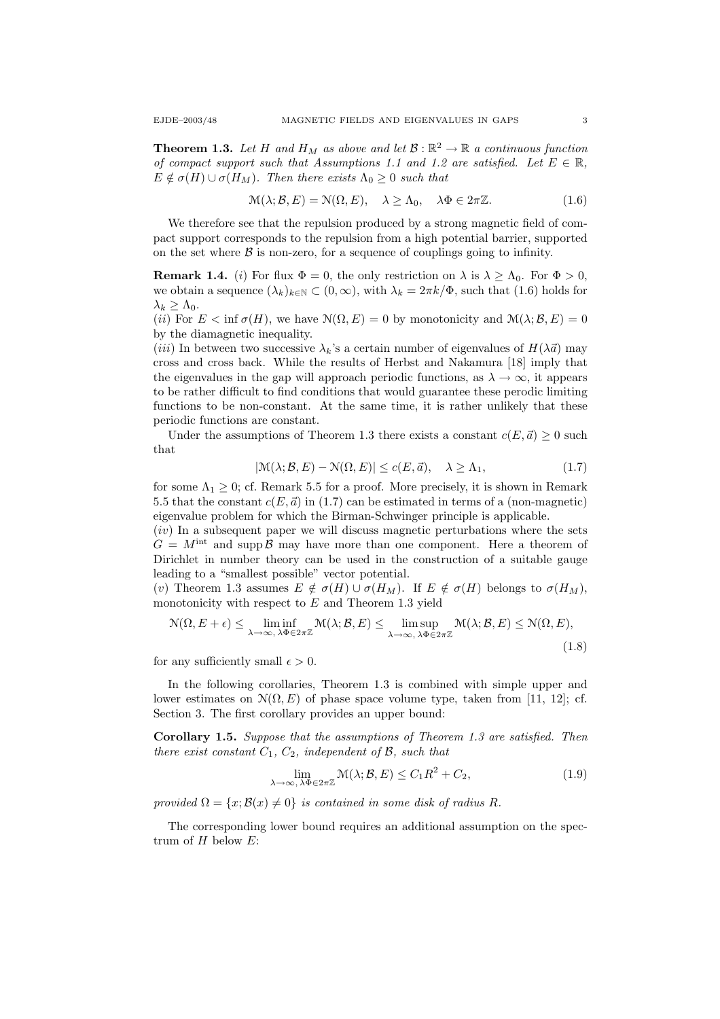**Theorem 1.3.** Let H and  $H_M$  as above and let  $\mathcal{B} : \mathbb{R}^2 \to \mathbb{R}$  a continuous function of compact support such that Assumptions 1.1 and 1.2 are satisfied. Let  $E \in \mathbb{R}$ ,  $E \notin \sigma(H) \cup \sigma(H_M)$ . Then there exists  $\Lambda_0 \geq 0$  such that

$$
\mathcal{M}(\lambda; \mathcal{B}, E) = \mathcal{N}(\Omega, E), \quad \lambda \ge \Lambda_0, \quad \lambda \Phi \in 2\pi \mathbb{Z}.
$$
 (1.6)

We therefore see that the repulsion produced by a strong magnetic field of compact support corresponds to the repulsion from a high potential barrier, supported on the set where  $\beta$  is non-zero, for a sequence of couplings going to infinity.

**Remark 1.4.** (i) For flux  $\Phi = 0$ , the only restriction on  $\lambda$  is  $\lambda \geq \Lambda_0$ . For  $\Phi > 0$ , we obtain a sequence  $(\lambda_k)_{k\in\mathbb{N}}\subset (0,\infty)$ , with  $\lambda_k=2\pi k/\Phi$ , such that (1.6) holds for  $\lambda_k \geq \Lambda_0$ .

(ii) For  $E < \inf \sigma(H)$ , we have  $\mathcal{N}(\Omega, E) = 0$  by monotonicity and  $\mathcal{M}(\lambda; \mathcal{B}, E) = 0$ by the diamagnetic inequality.

(*iii*) In between two successive  $\lambda_k$ 's a certain number of eigenvalues of  $H(\lambda \vec{a})$  may cross and cross back. While the results of Herbst and Nakamura [18] imply that the eigenvalues in the gap will approach periodic functions, as  $\lambda \to \infty$ , it appears to be rather difficult to find conditions that would guarantee these perodic limiting functions to be non-constant. At the same time, it is rather unlikely that these periodic functions are constant.

Under the assumptions of Theorem 1.3 there exists a constant  $c(E, \vec{a}) \geq 0$  such that

$$
|\mathcal{M}(\lambda; \mathcal{B}, E) - \mathcal{N}(\Omega, E)| \le c(E, \vec{a}), \quad \lambda \ge \Lambda_1,
$$
\n(1.7)

for some  $\Lambda_1 \geq 0$ ; cf. Remark 5.5 for a proof. More precisely, it is shown in Remark 5.5 that the constant  $c(E, \vec{a})$  in (1.7) can be estimated in terms of a (non-magnetic) eigenvalue problem for which the Birman-Schwinger principle is applicable.

 $(iv)$  In a subsequent paper we will discuss magnetic perturbations where the sets  $G = M^{\text{int}}$  and supp  $\beta$  may have more than one component. Here a theorem of Dirichlet in number theory can be used in the construction of a suitable gauge leading to a "smallest possible" vector potential.

(v) Theorem 1.3 assumes  $E \notin \sigma(H) \cup \sigma(H_M)$ . If  $E \notin \sigma(H)$  belongs to  $\sigma(H_M)$ , monotonicity with respect to  $E$  and Theorem 1.3 yield

$$
\mathcal{N}(\Omega, E + \epsilon) \le \liminf_{\lambda \to \infty, \, \lambda \Phi \in 2\pi \mathbb{Z}} \mathcal{M}(\lambda; \mathcal{B}, E) \le \limsup_{\lambda \to \infty, \, \lambda \Phi \in 2\pi \mathbb{Z}} \mathcal{M}(\lambda; \mathcal{B}, E) \le \mathcal{N}(\Omega, E),
$$
\n(1.8)

for any sufficiently small  $\epsilon > 0$ .

In the following corollaries, Theorem 1.3 is combined with simple upper and lower estimates on  $\mathcal{N}(\Omega, E)$  of phase space volume type, taken from [11, 12]; cf. Section 3. The first corollary provides an upper bound:

Corollary 1.5. Suppose that the assumptions of Theorem 1.3 are satisfied. Then there exist constant  $C_1$ ,  $C_2$ , independent of  $\mathcal{B}$ , such that

$$
\lim_{\lambda \to \infty, \lambda \Phi \in 2\pi \mathbb{Z}} \mathcal{M}(\lambda; \mathcal{B}, E) \le C_1 R^2 + C_2,
$$
\n(1.9)

provided  $\Omega = \{x; \mathcal{B}(x) \neq 0\}$  is contained in some disk of radius R.

The corresponding lower bound requires an additional assumption on the spectrum of  $H$  below  $E$ :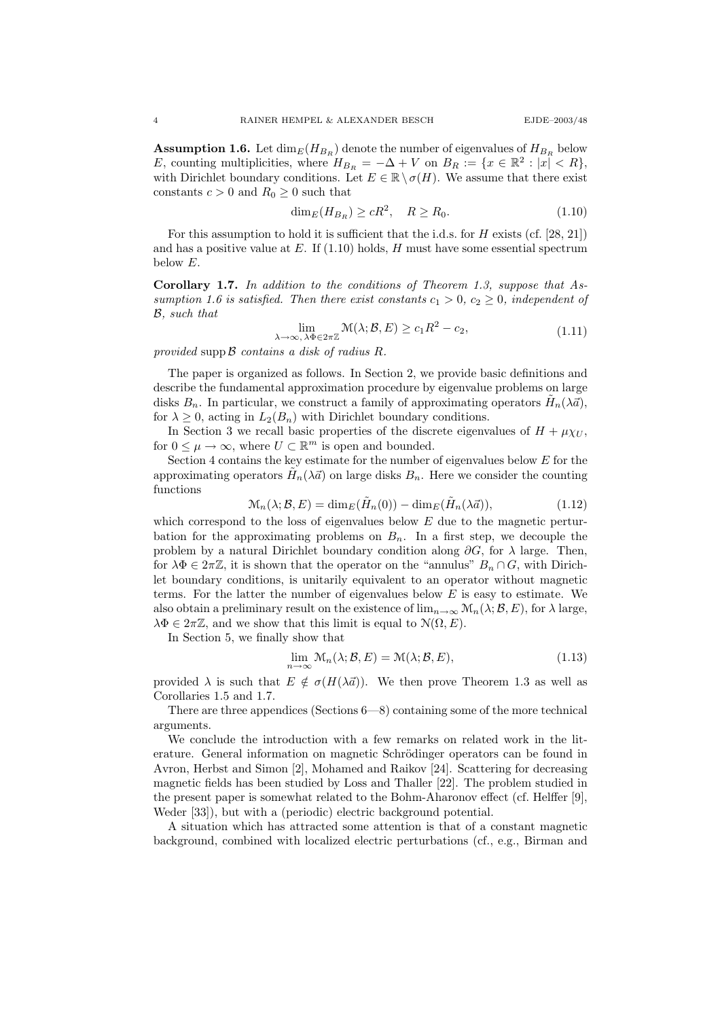**Assumption 1.6.** Let  $\dim_E(H_{B_R})$  denote the number of eigenvalues of  $H_{B_R}$  below E, counting multiplicities, where  $H_{B_R} = -\Delta + V$  on  $B_R := \{x \in \mathbb{R}^2 : |x| < R\},\$ with Dirichlet boundary conditions. Let  $E \in \mathbb{R} \setminus \sigma(H)$ . We assume that there exist constants  $c > 0$  and  $R_0 \geq 0$  such that

$$
\dim_E(H_{B_R}) \ge cR^2, \quad R \ge R_0. \tag{1.10}
$$

For this assumption to hold it is sufficient that the i.d.s. for  $H$  exists (cf. [28, 21]) and has a positive value at  $E$ . If  $(1.10)$  holds,  $H$  must have some essential spectrum below E.

Corollary 1.7. In addition to the conditions of Theorem 1.3, suppose that Assumption 1.6 is satisfied. Then there exist constants  $c_1 > 0$ ,  $c_2 \geq 0$ , independent of B, such that

$$
\lim_{\lambda \to \infty, \, \lambda \Phi \in 2\pi \mathbb{Z}} \mathcal{M}(\lambda; \mathcal{B}, E) \ge c_1 R^2 - c_2,\tag{1.11}
$$

provided supp  $\beta$  contains a disk of radius R.

The paper is organized as follows. In Section 2, we provide basic definitions and describe the fundamental approximation procedure by eigenvalue problems on large disks  $B_n$ . In particular, we construct a family of approximating operators  $\tilde{H}_n(\lambda \vec{a})$ , for  $\lambda \geq 0$ , acting in  $L_2(B_n)$  with Dirichlet boundary conditions.

In Section 3 we recall basic properties of the discrete eigenvalues of  $H + \mu \chi_U$ , for  $0 \leq \mu \to \infty$ , where  $U \subset \mathbb{R}^m$  is open and bounded.

Section 4 contains the key estimate for the number of eigenvalues below  $E$  for the approximating operators  $\tilde{H}_n(\lambda \vec{a})$  on large disks  $B_n$ . Here we consider the counting functions

$$
\mathcal{M}_n(\lambda; \mathcal{B}, E) = \dim_E(\tilde{H}_n(0)) - \dim_E(\tilde{H}_n(\lambda \vec{a})),\tag{1.12}
$$

which correspond to the loss of eigenvalues below  $E$  due to the magnetic perturbation for the approximating problems on  $B_n$ . In a first step, we decouple the problem by a natural Dirichlet boundary condition along  $\partial G$ , for  $\lambda$  large. Then, for  $\lambda \Phi \in 2\pi \mathbb{Z}$ , it is shown that the operator on the "annulus"  $B_n \cap G$ , with Dirichlet boundary conditions, is unitarily equivalent to an operator without magnetic terms. For the latter the number of eigenvalues below  $E$  is easy to estimate. We also obtain a preliminary result on the existence of  $\lim_{n\to\infty} \mathcal{M}_n(\lambda;\mathcal{B},E)$ , for  $\lambda$  large,  $\lambda \Phi \in 2\pi \mathbb{Z}$ , and we show that this limit is equal to  $\mathcal{N}(\Omega, E)$ .

In Section 5, we finally show that

$$
\lim_{n \to \infty} \mathcal{M}_n(\lambda; \mathcal{B}, E) = \mathcal{M}(\lambda; \mathcal{B}, E), \tag{1.13}
$$

provided  $\lambda$  is such that  $E \notin \sigma(H(\lambda \vec{a}))$ . We then prove Theorem 1.3 as well as Corollaries 1.5 and 1.7.

There are three appendices (Sections 6—8) containing some of the more technical arguments.

We conclude the introduction with a few remarks on related work in the literature. General information on magnetic Schrödinger operators can be found in Avron, Herbst and Simon [2], Mohamed and Raikov [24]. Scattering for decreasing magnetic fields has been studied by Loss and Thaller [22]. The problem studied in the present paper is somewhat related to the Bohm-Aharonov effect (cf. Helffer [9], Weder [33]), but with a (periodic) electric background potential.

A situation which has attracted some attention is that of a constant magnetic background, combined with localized electric perturbations (cf., e.g., Birman and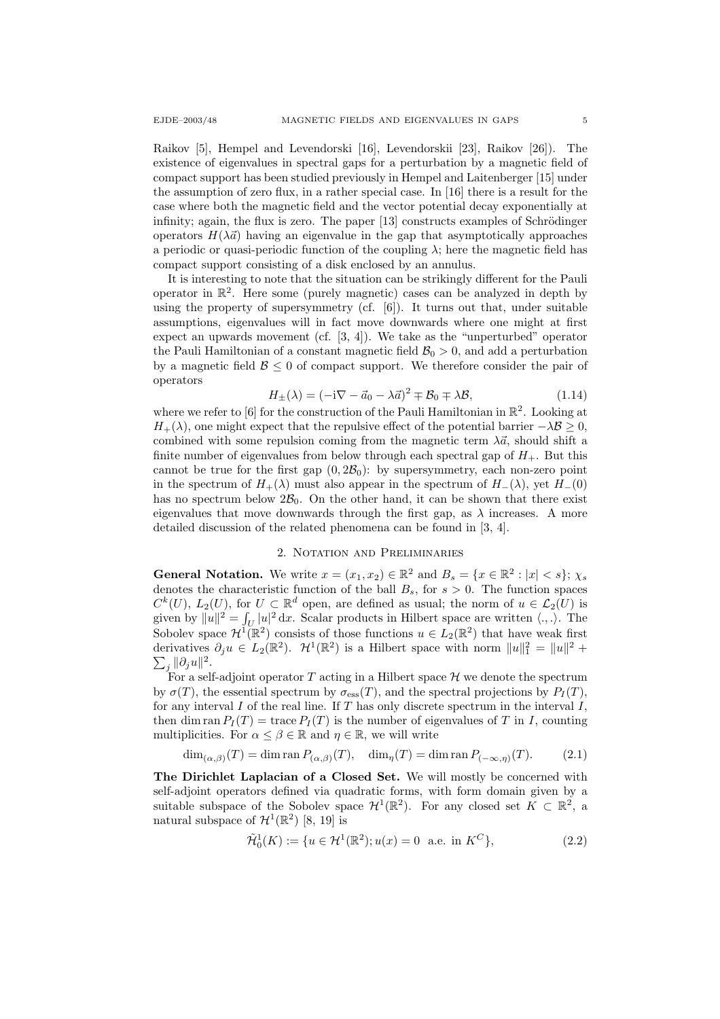Raikov [5], Hempel and Levendorski [16], Levendorskii [23], Raikov [26]). The existence of eigenvalues in spectral gaps for a perturbation by a magnetic field of compact support has been studied previously in Hempel and Laitenberger [15] under the assumption of zero flux, in a rather special case. In [16] there is a result for the case where both the magnetic field and the vector potential decay exponentially at infinity; again, the flux is zero. The paper  $[13]$  constructs examples of Schrödinger operators  $H(\lambda \vec{a})$  having an eigenvalue in the gap that asymptotically approaches a periodic or quasi-periodic function of the coupling  $\lambda$ ; here the magnetic field has compact support consisting of a disk enclosed by an annulus.

It is interesting to note that the situation can be strikingly different for the Pauli operator in  $\mathbb{R}^2$ . Here some (purely magnetic) cases can be analyzed in depth by using the property of supersymmetry (cf. [6]). It turns out that, under suitable assumptions, eigenvalues will in fact move downwards where one might at first expect an upwards movement (cf. [3, 4]). We take as the "unperturbed" operator the Pauli Hamiltonian of a constant magnetic field  $\mathcal{B}_0 > 0$ , and add a perturbation by a magnetic field  $\mathcal{B} \leq 0$  of compact support. We therefore consider the pair of operators

$$
H_{\pm}(\lambda) = (-i\nabla - \vec{a}_0 - \lambda \vec{a})^2 \mp \mathcal{B}_0 \mp \lambda \mathcal{B}, \qquad (1.14)
$$

where we refer to [6] for the construction of the Pauli Hamiltonian in  $\mathbb{R}^2$ . Looking at  $H_+(\lambda)$ , one might expect that the repulsive effect of the potential barrier  $-\lambda\mathcal{B} \geq 0$ , combined with some repulsion coming from the magnetic term  $\lambda \vec{a}$ , should shift a finite number of eigenvalues from below through each spectral gap of  $H_+$ . But this cannot be true for the first gap  $(0, 2B_0)$ : by supersymmetry, each non-zero point in the spectrum of  $H_+(\lambda)$  must also appear in the spectrum of  $H_-(\lambda)$ , yet  $H_-(0)$ has no spectrum below  $2B_0$ . On the other hand, it can be shown that there exist eigenvalues that move downwards through the first gap, as  $\lambda$  increases. A more detailed discussion of the related phenomena can be found in [3, 4].

## 2. Notation and Preliminaries

**General Notation.** We write  $x = (x_1, x_2) \in \mathbb{R}^2$  and  $B_s = \{x \in \mathbb{R}^2 : |x| < s\}; \chi_s$ denotes the characteristic function of the ball  $B_s$ , for  $s > 0$ . The function spaces  $C^k(U)$ ,  $L_2(U)$ , for  $U \subset \mathbb{R}^d$  open, are defined as usual; the norm of  $u \in \mathcal{L}_2(U)$  is given by  $||u||^2 = \int_U |u|^2 dx$ . Scalar products in Hilbert space are written  $\langle ., . \rangle$ . The Sobolev space  $\mathcal{H}^1(\mathbb{R}^2)$  consists of those functions  $u \in L_2(\mathbb{R}^2)$  that have weak first derivatives  $\partial_j u \in L_2(\mathbb{R}^2)$ .  $\mathcal{H}^1(\mathbb{R}^2)$  is a Hilbert space with norm  $||u||_1^2 = ||u||^2 +$  $\sum_j \|\partial_j u\|^2.$ 

For a self-adjoint operator  $T$  acting in a Hilbert space  $\mathcal H$  we denote the spectrum by  $\sigma(T)$ , the essential spectrum by  $\sigma_{\rm ess}(T)$ , and the spectral projections by  $P_I(T)$ , for any interval  $I$  of the real line. If  $T$  has only discrete spectrum in the interval  $I$ , then dim ran  $P_I(T)$  = trace  $P_I(T)$  is the number of eigenvalues of T in I, counting multiplicities. For  $\alpha \leq \beta \in \mathbb{R}$  and  $\eta \in \mathbb{R}$ , we will write

$$
\dim_{(\alpha,\beta)}(T) = \dim \operatorname{ran} P_{(\alpha,\beta)}(T), \quad \dim_{\eta}(T) = \dim \operatorname{ran} P_{(-\infty,\eta)}(T). \tag{2.1}
$$

The Dirichlet Laplacian of a Closed Set. We will mostly be concerned with self-adjoint operators defined via quadratic forms, with form domain given by a suitable subspace of the Sobolev space  $\mathcal{H}^1(\mathbb{R}^2)$ . For any closed set  $K \subset \mathbb{R}^2$ , a natural subspace of  $\mathcal{H}^1(\mathbb{R}^2)$  [8, 19] is

$$
\tilde{\mathcal{H}}_0^1(K) := \{ u \in \mathcal{H}^1(\mathbb{R}^2) ; u(x) = 0 \text{ a.e. in } K^C \},
$$
\n(2.2)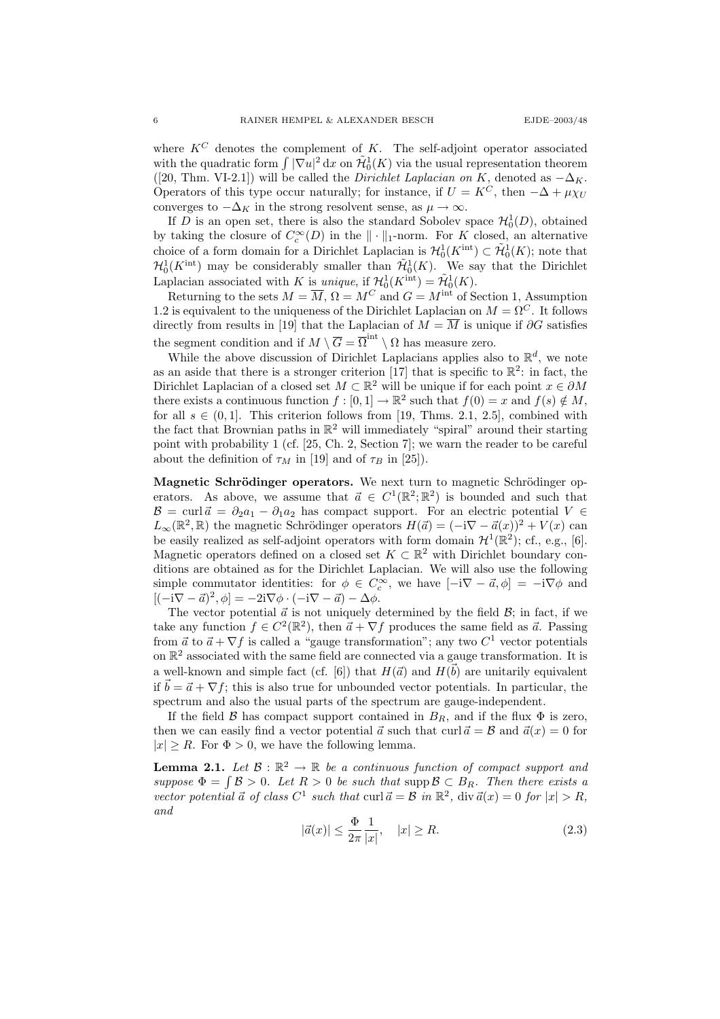where  $K^C$  denotes the complement of K. The self-adjoint operator associated with the quadratic form  $\int |\nabla u|^2 dx$  on  $\tilde{\mathcal{H}}_0^1(K)$  via the usual representation theorem ([20, Thm. VI-2.1]) will be called the *Dirichlet Laplacian on K*, denoted as  $-\Delta_K$ . Operators of this type occur naturally; for instance, if  $U = K^C$ , then  $-\Delta + \mu \chi_U$ converges to  $-\Delta_K$  in the strong resolvent sense, as  $\mu \to \infty$ .

If D is an open set, there is also the standard Sobolev space  $\mathcal{H}_0^1(D)$ , obtained by taking the closure of  $C_c^{\infty}(D)$  in the  $\|\cdot\|_1$ -norm. For K closed, an alternative choice of a form domain for a Dirichlet Laplacian is  $\mathcal{H}_0^1(K^{\text{int}}) \subset \tilde{\mathcal{H}}_0^1(K)$ ; note that  $\mathcal{H}_0^1(K^{\rm int})$  may be considerably smaller than  $\tilde{\mathcal{H}}_0^1(K)$ . We say that the Dirichlet Laplacian associated with K is *unique*, if  $\mathcal{H}_0^1(K^{\text{int}}) = \tilde{\mathcal{H}}_0^1(K)$ .

Returning to the sets  $M = \overline{M}$ ,  $\Omega = M^C$  and  $G = M^{\text{int}}$  of Section 1, Assumption 1.2 is equivalent to the uniqueness of the Dirichlet Laplacian on  $M = \Omega^C$ . It follows directly from results in [19] that the Laplacian of  $M = \overline{M}$  is unique if  $\partial G$  satisfies the segment condition and if  $M \setminus \overline{G} = \overline{\Omega}^{int} \setminus \Omega$  has measure zero.

While the above discussion of Dirichlet Laplacians applies also to  $\mathbb{R}^d$ , we note as an aside that there is a stronger criterion [17] that is specific to  $\mathbb{R}^2$ : in fact, the Dirichlet Laplacian of a closed set  $M \subset \mathbb{R}^2$  will be unique if for each point  $x \in \partial M$ there exists a continuous function  $f : [0,1] \to \mathbb{R}^2$  such that  $f(0) = x$  and  $f(s) \notin M$ , for all  $s \in (0,1]$ . This criterion follows from [19, Thms. 2.1, 2.5], combined with the fact that Brownian paths in  $\mathbb{R}^2$  will immediately "spiral" around their starting point with probability 1 (cf. [25, Ch. 2, Section 7]; we warn the reader to be careful about the definition of  $\tau_M$  in [19] and of  $\tau_B$  in [25]).

Magnetic Schrödinger operators. We next turn to magnetic Schrödinger operators. As above, we assume that  $\vec{a} \in C^1(\mathbb{R}^2; \mathbb{R}^2)$  is bounded and such that  $\mathcal{B} = \text{curl } \vec{a} = \partial_2 a_1 - \partial_1 a_2$  has compact support. For an electric potential  $V \in$  $L_{\infty}(\mathbb{R}^2, \mathbb{R})$  the magnetic Schrödinger operators  $H(\vec{a}) = (-i\nabla - \vec{a}(x))^2 + V(x)$  can be easily realized as self-adjoint operators with form domain  $\mathcal{H}^1(\mathbb{R}^2)$ ; cf., e.g., [6]. Magnetic operators defined on a closed set  $K \subset \mathbb{R}^2$  with Dirichlet boundary conditions are obtained as for the Dirichlet Laplacian. We will also use the following simple commutator identities: for  $\phi \in C_c^{\infty}$ , we have  $[-i\nabla - \vec{a}, \phi] = -i\nabla \phi$  and  $[(-i\nabla - \vec{a})^2, \phi] = -2i\nabla \phi \cdot (-i\nabla - \vec{a}) - \Delta \phi.$ 

The vector potential  $\vec{a}$  is not uniquely determined by the field  $\vec{B}$ ; in fact, if we take any function  $f \in C^2(\mathbb{R}^2)$ , then  $\vec{a} + \nabla f$  produces the same field as  $\vec{a}$ . Passing from  $\vec{a}$  to  $\vec{a} + \nabla f$  is called a "gauge transformation"; any two  $C^1$  vector potentials on  $\mathbb{R}^2$  associated with the same field are connected via a gauge transformation. It is a well-known and simple fact (cf. [6]) that  $H(\vec{a})$  and  $H(\vec{b})$  are unitarily equivalent if  $\vec{b} = \vec{a} + \nabla f$ ; this is also true for unbounded vector potentials. In particular, the spectrum and also the usual parts of the spectrum are gauge-independent.

If the field B has compact support contained in  $B_R$ , and if the flux  $\Phi$  is zero, then we can easily find a vector potential  $\vec{a}$  such that curl  $\vec{a} = \mathcal{B}$  and  $\vec{a}(x) = 0$  for  $|x| \ge R$ . For  $\Phi > 0$ , we have the following lemma.

**Lemma 2.1.** Let  $\mathcal{B}: \mathbb{R}^2 \to \mathbb{R}$  be a continuous function of compact support and suppose  $\Phi = \int \mathcal{B} > 0$ . Let  $R > 0$  be such that supp  $\mathcal{B} \subset B_R$ . Then there exists a vector potential  $\vec{a}$  of class  $C^1$  such that curl  $\vec{a} = \mathcal{B}$  in  $\mathbb{R}^2$ , div  $\vec{a}(x) = 0$  for  $|x| > R$ , and

$$
|\vec{a}(x)| \le \frac{\Phi}{2\pi} \frac{1}{|x|}, \quad |x| \ge R. \tag{2.3}
$$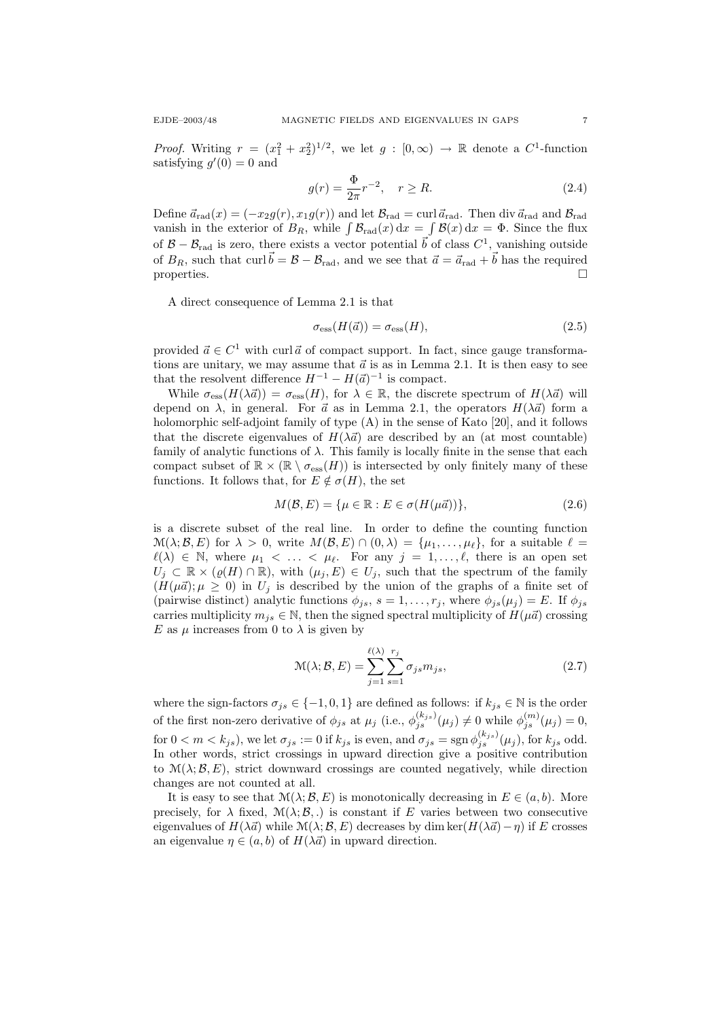*Proof.* Writing  $r = (x_1^2 + x_2^2)^{1/2}$ , we let  $g : [0, \infty) \to \mathbb{R}$  denote a  $C^1$ -function satisfying  $g'(0) = 0$  and

$$
g(r) = \frac{\Phi}{2\pi} r^{-2}, \quad r \ge R.
$$
 (2.4)

Define  $\vec{a}_{rad}(x) = (-x_2g(r), x_1g(r))$  and let  $\mathcal{B}_{rad} = \text{curl } \vec{a}_{rad}$ . Then div  $\vec{a}_{rad}$  and  $\mathcal{B}_{rad}$ vanish in the exterior of  $B_R$ , while  $\int \mathcal{B}_{rad}(x) dx = \int \mathcal{B}(x) dx = \Phi$ . Since the flux of  $\mathcal{B} - \mathcal{B}_{rad}$  is zero, there exists a vector potential  $\vec{b}$  of class  $C^1$ , vanishing outside of  $B_R$ , such that curl  $\vec{b} = \mathcal{B} - \mathcal{B}_{rad}$ , and we see that  $\vec{a} = \vec{a}_{rad} + \vec{b}$  has the required properties.  $\Box$ 

A direct consequence of Lemma 2.1 is that

$$
\sigma_{\rm ess}(H(\vec{a})) = \sigma_{\rm ess}(H),\tag{2.5}
$$

provided  $\vec{a} \in C^1$  with curl  $\vec{a}$  of compact support. In fact, since gauge transformations are unitary, we may assume that  $\vec{a}$  is as in Lemma 2.1. It is then easy to see that the resolvent difference  $H^{-1} - H(\vec{a})^{-1}$  is compact.

While  $\sigma_{\rm ess}(H(\lambda \vec{a})) = \sigma_{\rm ess}(H)$ , for  $\lambda \in \mathbb{R}$ , the discrete spectrum of  $H(\lambda \vec{a})$  will depend on  $\lambda$ , in general. For  $\vec{a}$  as in Lemma 2.1, the operators  $H(\lambda \vec{a})$  form a holomorphic self-adjoint family of type (A) in the sense of Kato [20], and it follows that the discrete eigenvalues of  $H(\lambda \vec{a})$  are described by an (at most countable) family of analytic functions of  $\lambda$ . This family is locally finite in the sense that each compact subset of  $\mathbb{R} \times (\mathbb{R} \setminus \sigma_{\text{ess}}(H))$  is intersected by only finitely many of these functions. It follows that, for  $E \notin \sigma(H)$ , the set

$$
M(\mathcal{B}, E) = \{\mu \in \mathbb{R} : E \in \sigma(H(\mu \vec{a}))\},\tag{2.6}
$$

is a discrete subset of the real line. In order to define the counting function  $\mathcal{M}(\lambda;\mathcal{B},E)$  for  $\lambda > 0$ , write  $M(\mathcal{B},E) \cap (0,\lambda) = {\mu_1, \ldots, \mu_\ell}$ , for a suitable  $\ell =$  $\ell(\lambda) \in \mathbb{N}$ , where  $\mu_1 < \ldots < \mu_{\ell}$ . For any  $j = 1, \ldots, \ell$ , there is an open set  $U_j \subset \mathbb{R} \times (\varrho(H) \cap \mathbb{R})$ , with  $(\mu_j, E) \in U_j$ , such that the spectrum of the family  $(H(\mu \vec{a}); \mu \geq 0)$  in  $U_i$  is described by the union of the graphs of a finite set of (pairwise distinct) analytic functions  $\phi_{js}$ ,  $s = 1, \ldots, r_j$ , where  $\phi_{js}(\mu_j) = E$ . If  $\phi_{js}$ carries multiplicity  $m_{js} \in \mathbb{N}$ , then the signed spectral multiplicity of  $H(\mu \vec{a})$  crossing E as  $\mu$  increases from 0 to  $\lambda$  is given by

$$
\mathcal{M}(\lambda; \mathcal{B}, E) = \sum_{j=1}^{\ell(\lambda)} \sum_{s=1}^{r_j} \sigma_{js} m_{js},
$$
\n(2.7)

where the sign-factors  $\sigma_{js} \in \{-1,0,1\}$  are defined as follows: if  $k_{js} \in \mathbb{N}$  is the order of the first non-zero derivative of  $\phi_{js}$  at  $\mu_j$  (i.e.,  $\phi_{js}^{(k_{js})}(\mu_j) \neq 0$  while  $\phi_{js}^{(m)}(\mu_j) = 0$ , for  $0 < m < k_{js}$ , we let  $\sigma_{js} := 0$  if  $k_{js}$  is even, and  $\sigma_{js} = \text{sgn} \,\phi_{js}^{(k_{js})}(\mu_j)$ , for  $k_{js}$  odd. In other words, strict crossings in upward direction give a positive contribution to  $\mathcal{M}(\lambda;\mathcal{B},E)$ , strict downward crossings are counted negatively, while direction changes are not counted at all.

It is easy to see that  $\mathcal{M}(\lambda;\mathcal{B}, E)$  is monotonically decreasing in  $E \in (a, b)$ . More precisely, for  $\lambda$  fixed,  $\mathcal{M}(\lambda;\mathcal{B},.)$  is constant if E varies between two consecutive eigenvalues of  $H(\lambda \vec{a})$  while  $\mathcal{M}(\lambda;\mathcal{B}, E)$  decreases by dim ker $(H(\lambda \vec{a}) - \eta)$  if E crosses an eigenvalue  $\eta \in (a, b)$  of  $H(\lambda \vec{a})$  in upward direction.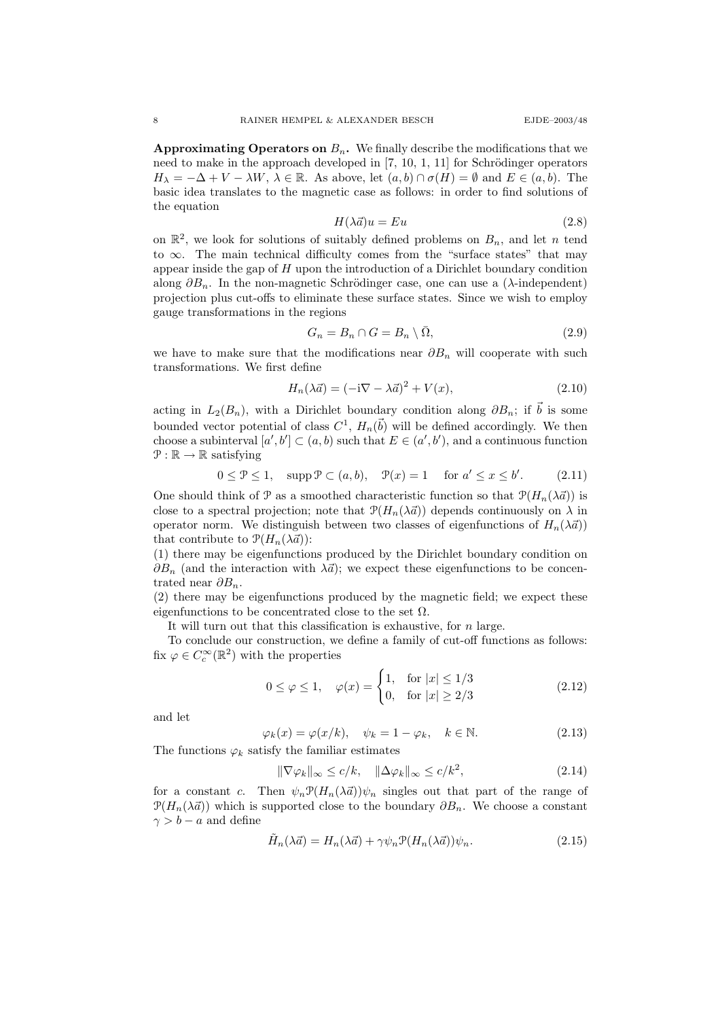Approximating Operators on  $B_n$ . We finally describe the modifications that we need to make in the approach developed in  $[7, 10, 1, 11]$  for Schrödinger operators  $H_{\lambda} = -\Delta + V - \lambda W$ ,  $\lambda \in \mathbb{R}$ . As above, let  $(a, b) \cap \sigma(H) = \emptyset$  and  $E \in (a, b)$ . The basic idea translates to the magnetic case as follows: in order to find solutions of the equation

$$
H(\lambda \vec{a})u = Eu \tag{2.8}
$$

on  $\mathbb{R}^2$ , we look for solutions of suitably defined problems on  $B_n$ , and let n tend to  $\infty$ . The main technical difficulty comes from the "surface states" that may appear inside the gap of  $H$  upon the introduction of a Dirichlet boundary condition along  $\partial B_n$ . In the non-magnetic Schrödinger case, one can use a ( $\lambda$ -independent) projection plus cut-offs to eliminate these surface states. Since we wish to employ gauge transformations in the regions

$$
G_n = B_n \cap G = B_n \setminus \overline{\Omega},\tag{2.9}
$$

we have to make sure that the modifications near  $\partial B_n$  will cooperate with such transformations. We first define

$$
H_n(\lambda \vec{a}) = (-i\nabla - \lambda \vec{a})^2 + V(x),\tag{2.10}
$$

acting in  $L_2(B_n)$ , with a Dirichlet boundary condition along  $\partial B_n$ ; if  $\vec{b}$  is some bounded vector potential of class  $C^1$ ,  $H_n(\vec{b})$  will be defined accordingly. We then choose a subinterval  $[a', b'] \subset (a, b)$  such that  $E \in (a', b')$ , and a continuous function  $\mathcal{P}: \mathbb{R} \to \mathbb{R}$  satisfying

$$
0 \le \mathcal{P} \le 1, \quad \text{supp}\,\mathcal{P} \subset (a, b), \quad \mathcal{P}(x) = 1 \quad \text{for } a' \le x \le b'. \tag{2.11}
$$

One should think of P as a smoothed characteristic function so that  $\mathcal{P}(H_n(\lambda \vec{a}))$  is close to a spectral projection; note that  $\mathcal{P}(H_n(\lambda \vec{a}))$  depends continuously on  $\lambda$  in operator norm. We distinguish between two classes of eigenfunctions of  $H_n(\lambda \vec{a})$ that contribute to  $\mathcal{P}(H_n(\lambda \vec{a}))$ :

(1) there may be eigenfunctions produced by the Dirichlet boundary condition on  $\partial B_n$  (and the interaction with  $\lambda \vec{a}$ ); we expect these eigenfunctions to be concentrated near  $\partial B_n$ .

(2) there may be eigenfunctions produced by the magnetic field; we expect these eigenfunctions to be concentrated close to the set  $\Omega$ .

It will turn out that this classification is exhaustive, for  $n$  large.

To conclude our construction, we define a family of cut-off functions as follows: fix  $\varphi \in C_c^{\infty}(\mathbb{R}^2)$  with the properties

$$
0 \le \varphi \le 1, \quad \varphi(x) = \begin{cases} 1, & \text{for } |x| \le 1/3 \\ 0, & \text{for } |x| \ge 2/3 \end{cases} \tag{2.12}
$$

and let

$$
\varphi_k(x) = \varphi(x/k), \quad \psi_k = 1 - \varphi_k, \quad k \in \mathbb{N}.
$$
 (2.13)

The functions  $\varphi_k$  satisfy the familiar estimates

$$
\|\nabla \varphi_k\|_{\infty} \le c/k, \quad \|\Delta \varphi_k\|_{\infty} \le c/k^2,
$$
\n(2.14)

for a constant c. Then  $\psi_n \mathcal{P}(H_n(\lambda \vec{a}))\psi_n$  singles out that part of the range of  $\mathcal{P}(H_n(\lambda \vec{a}))$  which is supported close to the boundary  $\partial B_n$ . We choose a constant  $\gamma > b - a$  and define

$$
\tilde{H}_n(\lambda \vec{a}) = H_n(\lambda \vec{a}) + \gamma \psi_n \mathcal{P}(H_n(\lambda \vec{a})) \psi_n.
$$
\n(2.15)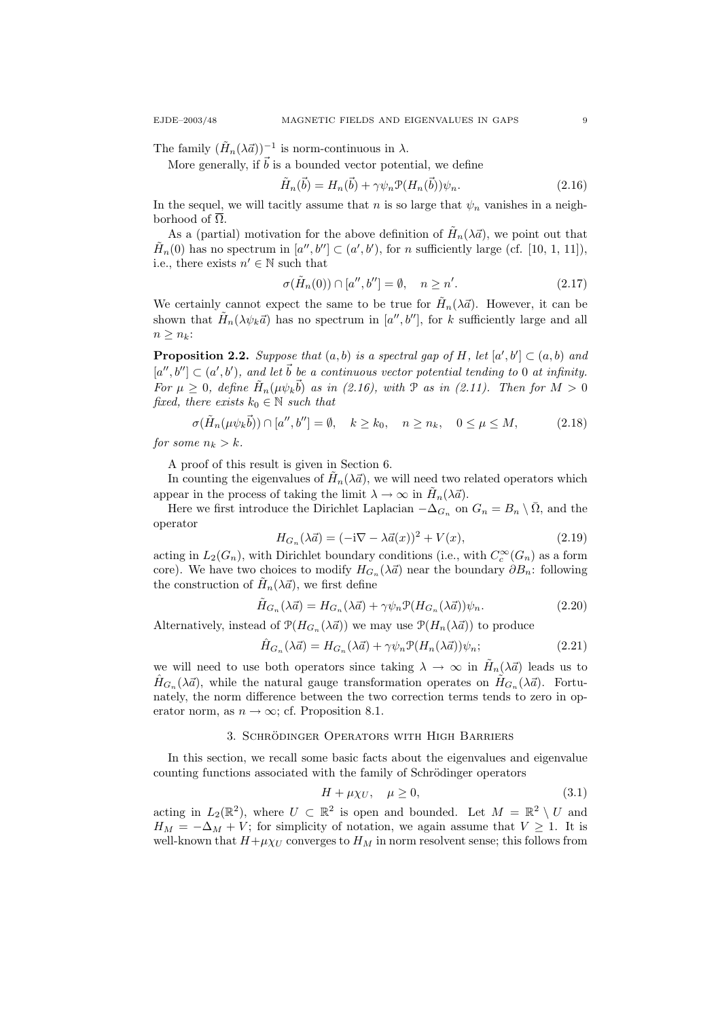The family  $(\tilde{H}_n(\lambda \vec{a}))^{-1}$  is norm-continuous in  $\lambda$ .

More generally, if  $\vec{b}$  is a bounded vector potential, we define

$$
\tilde{H}_n(\vec{b}) = H_n(\vec{b}) + \gamma \psi_n \mathcal{P}(H_n(\vec{b})) \psi_n.
$$
\n(2.16)

In the sequel, we will tacitly assume that n is so large that  $\psi_n$  vanishes in a neighborhood of  $\overline{\Omega}$ .

As a (partial) motivation for the above definition of  $\tilde{H}_n(\lambda \vec{a})$ , we point out that  $\tilde{H}_n(0)$  has no spectrum in  $[a'', b''] \subset (a', b')$ , for n sufficiently large (cf. [10, 1, 11]), i.e., there exists  $n' \in \mathbb{N}$  such that

$$
\sigma(\tilde{H}_n(0)) \cap [a'', b''] = \emptyset, \quad n \ge n'. \tag{2.17}
$$

We certainly cannot expect the same to be true for  $\tilde{H}_n(\lambda \vec{a})$ . However, it can be shown that  $\tilde{H}_n(\lambda \psi_k \vec{a})$  has no spectrum in  $[a'', b'']$ , for k sufficiently large and all  $n \geq n_k$ :

**Proposition 2.2.** Suppose that  $(a, b)$  is a spectral gap of H, let  $[a', b'] \subset (a, b)$  and  $[a'',b''] \subset (a',b')$ , and let  $\vec{b}$  be a continuous vector potential tending to 0 at infinity. For  $\mu \geq 0$ , define  $\tilde{H}_n(\mu \psi_k \vec{b})$  as in (2.16), with  $\mathcal P$  as in (2.11). Then for  $M > 0$ fixed, there exists  $k_0 \in \mathbb{N}$  such that

$$
\sigma(\tilde{H}_n(\mu\psi_k\vec{b})) \cap [a'',b''] = \emptyset, \quad k \ge k_0, \quad n \ge n_k, \quad 0 \le \mu \le M,\tag{2.18}
$$

for some  $n_k > k$ .

A proof of this result is given in Section 6.

In counting the eigenvalues of  $\tilde{H}_n(\lambda \vec{a})$ , we will need two related operators which appear in the process of taking the limit  $\lambda \to \infty$  in  $\tilde{H}_n(\lambda \vec{a})$ .

Here we first introduce the Dirichlet Laplacian  $-\Delta_{G_n}$  on  $G_n = B_n \setminus \overline{\Omega}$ , and the operator

$$
H_{G_n}(\lambda \vec{a}) = (-i\nabla - \lambda \vec{a}(x))^2 + V(x),\tag{2.19}
$$

acting in  $L_2(G_n)$ , with Dirichlet boundary conditions (i.e., with  $C_c^{\infty}(G_n)$  as a form core). We have two choices to modify  $H_{G_n}(\lambda \vec{a})$  near the boundary  $\partial B_n$ : following the construction of  $\tilde{H}_n(\lambda \vec{a})$ , we first define

$$
\tilde{H}_{G_n}(\lambda \vec{a}) = H_{G_n}(\lambda \vec{a}) + \gamma \psi_n \mathcal{P}(H_{G_n}(\lambda \vec{a})) \psi_n.
$$
\n(2.20)

Alternatively, instead of  $\mathcal{P}(H_{G_n}(\lambda \vec{a}))$  we may use  $\mathcal{P}(H_n(\lambda \vec{a}))$  to produce

$$
\hat{H}_{G_n}(\lambda \vec{a}) = H_{G_n}(\lambda \vec{a}) + \gamma \psi_n \mathcal{P}(H_n(\lambda \vec{a})) \psi_n; \tag{2.21}
$$

we will need to use both operators since taking  $\lambda \to \infty$  in  $\tilde{H}_n(\lambda \vec{a})$  leads us to  $\hat{H}_{G_n}(\lambda \vec{a})$ , while the natural gauge transformation operates on  $\tilde{H}_{G_n}(\lambda \vec{a})$ . Fortunately, the norm difference between the two correction terms tends to zero in operator norm, as  $n \to \infty$ ; cf. Proposition 8.1.

### 3. SCHRÖDINGER OPERATORS WITH HIGH BARRIERS

In this section, we recall some basic facts about the eigenvalues and eigenvalue counting functions associated with the family of Schrödinger operators

$$
H + \mu \chi_U, \quad \mu \ge 0,\tag{3.1}
$$

acting in  $L_2(\mathbb{R}^2)$ , where  $U \subset \mathbb{R}^2$  is open and bounded. Let  $M = \mathbb{R}^2 \setminus U$  and  $H_M = -\Delta_M + V$ ; for simplicity of notation, we again assume that  $V \geq 1$ . It is well-known that  $H+\mu\chi_U$  converges to  $H_M$  in norm resolvent sense; this follows from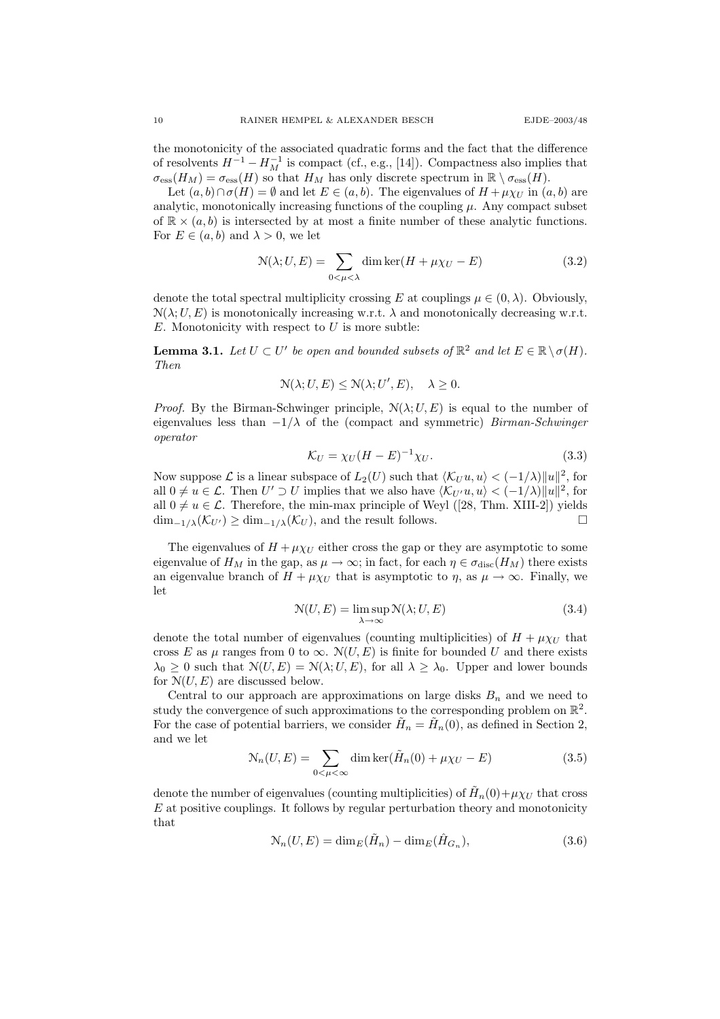the monotonicity of the associated quadratic forms and the fact that the difference of resolvents  $H^{-1} - H_M^{-1}$  is compact (cf., e.g., [14]). Compactness also implies that  $\sigma_{\text{ess}}(H_M) = \sigma_{\text{ess}}(H)$  so that  $H_M$  has only discrete spectrum in  $\mathbb{R} \setminus \sigma_{\text{ess}}(H)$ .

Let  $(a, b) \cap \sigma(H) = \emptyset$  and let  $E \in (a, b)$ . The eigenvalues of  $H + \mu \chi_U$  in  $(a, b)$  are analytic, monotonically increasing functions of the coupling  $\mu$ . Any compact subset of  $\mathbb{R} \times (a, b)$  is intersected by at most a finite number of these analytic functions. For  $E \in (a, b)$  and  $\lambda > 0$ , we let

$$
\mathcal{N}(\lambda; U, E) = \sum_{0 < \mu < \lambda} \dim \ker(H + \mu \chi_U - E) \tag{3.2}
$$

denote the total spectral multiplicity crossing E at couplings  $\mu \in (0, \lambda)$ . Obviously,  $\mathcal{N}(\lambda; U, E)$  is monotonically increasing w.r.t.  $\lambda$  and monotonically decreasing w.r.t.  $E$ . Monotonicity with respect to  $U$  is more subtle:

**Lemma 3.1.** Let  $U \subset U'$  be open and bounded subsets of  $\mathbb{R}^2$  and let  $E \in \mathbb{R} \setminus \sigma(H)$ . Then

$$
\mathcal{N}(\lambda; U, E) \le \mathcal{N}(\lambda; U', E), \quad \lambda \ge 0.
$$

*Proof.* By the Birman-Schwinger principle,  $\mathcal{N}(\lambda; U, E)$  is equal to the number of eigenvalues less than  $-1/\lambda$  of the (compact and symmetric) Birman-Schwinger operator

$$
\mathcal{K}_U = \chi_U (H - E)^{-1} \chi_U. \tag{3.3}
$$

Now suppose  $\mathcal L$  is a linear subspace of  $L_2(U)$  such that  $\langle \mathcal K_U u, u \rangle < (-1/\lambda) ||u||^2$ , for all  $0 \neq u \in \mathcal{L}$ . Then  $U' \supset U$  implies that we also have  $\langle \mathcal{K}_{U'}u, u \rangle < (-1/\lambda) ||u||^2$ , for all  $0 \neq u \in \mathcal{L}$ . Therefore, the min-max principle of Weyl ([28, Thm. XIII-2]) yields  $\dim_{-1/\lambda}(\mathcal{K}_{U'}) \geq \dim_{-1/\lambda}(\mathcal{K}_U)$ , and the result follows.

The eigenvalues of  $H + \mu \chi_U$  either cross the gap or they are asymptotic to some eigenvalue of  $H_M$  in the gap, as  $\mu \to \infty$ ; in fact, for each  $\eta \in \sigma_{disc}(H_M)$  there exists an eigenvalue branch of  $H + \mu \chi_U$  that is asymptotic to  $\eta$ , as  $\mu \to \infty$ . Finally, we let

$$
\mathcal{N}(U, E) = \limsup_{\lambda \to \infty} \mathcal{N}(\lambda; U, E)
$$
\n(3.4)

denote the total number of eigenvalues (counting multiplicities) of  $H + \mu \chi_U$  that cross E as  $\mu$  ranges from 0 to  $\infty$ .  $\mathcal{N}(U, E)$  is finite for bounded U and there exists  $\lambda_0 \geq 0$  such that  $\mathcal{N}(U, E) = \mathcal{N}(\lambda; U, E)$ , for all  $\lambda \geq \lambda_0$ . Upper and lower bounds for  $N(U, E)$  are discussed below.

Central to our approach are approximations on large disks  $B_n$  and we need to study the convergence of such approximations to the corresponding problem on  $\mathbb{R}^2$ . For the case of potential barriers, we consider  $\tilde{H}_n = \tilde{H}_n(0)$ , as defined in Section 2, and we let

$$
\mathcal{N}_n(U, E) = \sum_{0 < \mu < \infty} \dim \ker(\tilde{H}_n(0) + \mu \chi_U - E) \tag{3.5}
$$

denote the number of eigenvalues (counting multiplicities) of  $\tilde{H}_n(0) + \mu \chi_U$  that cross  $E$  at positive couplings. It follows by regular perturbation theory and monotonicity that

$$
\mathcal{N}_n(U, E) = \dim_E(\tilde{H}_n) - \dim_E(\hat{H}_{G_n}),\tag{3.6}
$$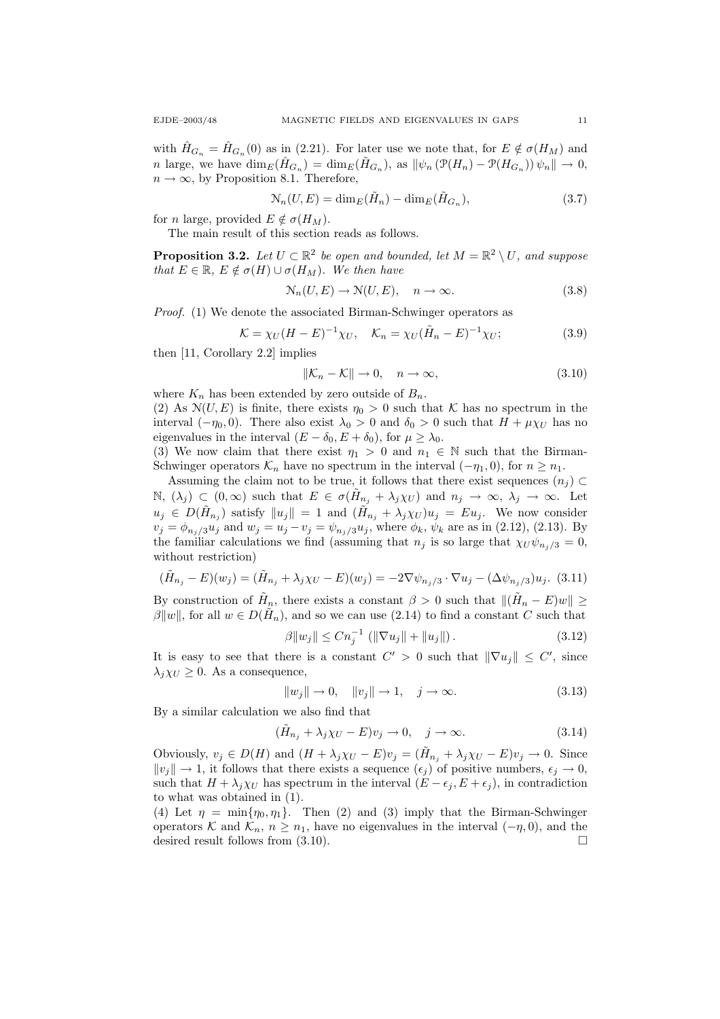with  $\hat{H}_{G_n} = \hat{H}_{G_n}(0)$  as in (2.21). For later use we note that, for  $E \notin \sigma(H_M)$  and n large, we have  $\dim_E(\hat{H}_{G_n}) = \dim_E(\tilde{H}_{G_n})$ , as  $\|\psi_n(\mathcal{P}(H_n) - \mathcal{P}(H_{G_n}))\psi_n\| \to 0$ ,  $n \to \infty$ , by Proposition 8.1. Therefore,

$$
\mathcal{N}_n(U, E) = \dim_E(\tilde{H}_n) - \dim_E(\tilde{H}_{G_n}),\tag{3.7}
$$

for *n* large, provided  $E \notin \sigma(H_M)$ .

The main result of this section reads as follows.

**Proposition 3.2.** Let  $U \subset \mathbb{R}^2$  be open and bounded, let  $M = \mathbb{R}^2 \setminus U$ , and suppose that  $E \in \mathbb{R}, E \notin \sigma(H) \cup \sigma(H_M)$ . We then have

$$
\mathcal{N}_n(U, E) \to \mathcal{N}(U, E), \quad n \to \infty.
$$
\n(3.8)

Proof. (1) We denote the associated Birman-Schwinger operators as

$$
\mathcal{K} = \chi_U (H - E)^{-1} \chi_U, \quad \mathcal{K}_n = \chi_U (\tilde{H}_n - E)^{-1} \chi_U; \tag{3.9}
$$

then [11, Corollary 2.2] implies

$$
\|\mathcal{K}_n - \mathcal{K}\| \to 0, \quad n \to \infty,
$$
\n(3.10)

where  $K_n$  has been extended by zero outside of  $B_n$ .

(2) As  $\mathcal{N}(U, E)$  is finite, there exists  $\eta_0 > 0$  such that K has no spectrum in the interval  $(-\eta_0, 0)$ . There also exist  $\lambda_0 > 0$  and  $\delta_0 > 0$  such that  $H + \mu \chi_U$  has no eigenvalues in the interval  $(E - \delta_0, E + \delta_0)$ , for  $\mu \geq \lambda_0$ .

(3) We now claim that there exist  $\eta_1 > 0$  and  $n_1 \in \mathbb{N}$  such that the Birman-Schwinger operators  $\mathcal{K}_n$  have no spectrum in the interval  $(-\eta_1, 0)$ , for  $n \geq n_1$ .

Assuming the claim not to be true, it follows that there exist sequences  $(n_j) \subset$ N,  $(\lambda_j) \subset (0,\infty)$  such that  $E \in \sigma(\tilde{H}_{n_j} + \lambda_j \chi_U)$  and  $n_j \to \infty$ ,  $\lambda_j \to \infty$ . Let  $u_j \in D(\tilde{H}_{n_j})$  satisfy  $||u_j|| = 1$  and  $(\tilde{H}_{n_j} + \lambda_j \chi_U)u_j = Eu_j$ . We now consider  $v_j = \phi_{n_j/3} u_j$  and  $w_j = u_j - v_j = \psi_{n_j/3} u_j$ , where  $\phi_k$ ,  $\psi_k$  are as in (2.12), (2.13). By the familiar calculations we find (assuming that  $n_j$  is so large that  $\chi_U \psi_{n_i/3} = 0$ , without restriction)

$$
(\tilde{H}_{n_j} - E)(w_j) = (\tilde{H}_{n_j} + \lambda_j \chi_U - E)(w_j) = -2\nabla \psi_{n_j/3} \cdot \nabla u_j - (\Delta \psi_{n_j/3}) u_j.
$$
 (3.11)

By construction of  $\tilde{H}_n$ , there exists a constant  $\beta > 0$  such that  $\|(\tilde{H}_n - E)w\| \ge$  $\beta ||w||$ , for all  $w \in D(\tilde{H}_n)$ , and so we can use (2.14) to find a constant C such that

$$
\beta \|w_j\| \le C n_j^{-1} \left( \|\nabla u_j\| + \|u_j\| \right). \tag{3.12}
$$

It is easy to see that there is a constant  $C' > 0$  such that  $\|\nabla u_j\| \leq C'$ , since  $\lambda_i \chi_U \geq 0$ . As a consequence,

$$
||w_j|| \to 0, \quad ||v_j|| \to 1, \quad j \to \infty.
$$
 (3.13)

By a similar calculation we also find that

$$
(\tilde{H}_{n_j} + \lambda_j \chi_U - E)v_j \to 0, \quad j \to \infty.
$$
\n(3.14)

Obviously,  $v_j \in D(H)$  and  $(H + \lambda_j \chi_U - E)v_j = (\tilde{H}_{n_j} + \lambda_j \chi_U - E)v_j \to 0$ . Since  $||v_j|| \to 1$ , it follows that there exists a sequence  $(\epsilon_j)$  of positive numbers,  $\epsilon_j \to 0$ , such that  $H + \lambda_j \chi_U$  has spectrum in the interval  $(E - \epsilon_j, E + \epsilon_j)$ , in contradiction to what was obtained in (1).

(4) Let  $\eta = \min\{\eta_0, \eta_1\}$ . Then (2) and (3) imply that the Birman-Schwinger operators K and  $\mathcal{K}_n$ ,  $n \geq n_1$ , have no eigenvalues in the interval  $(-\eta, 0)$ , and the desired result follows from  $(3.10)$ .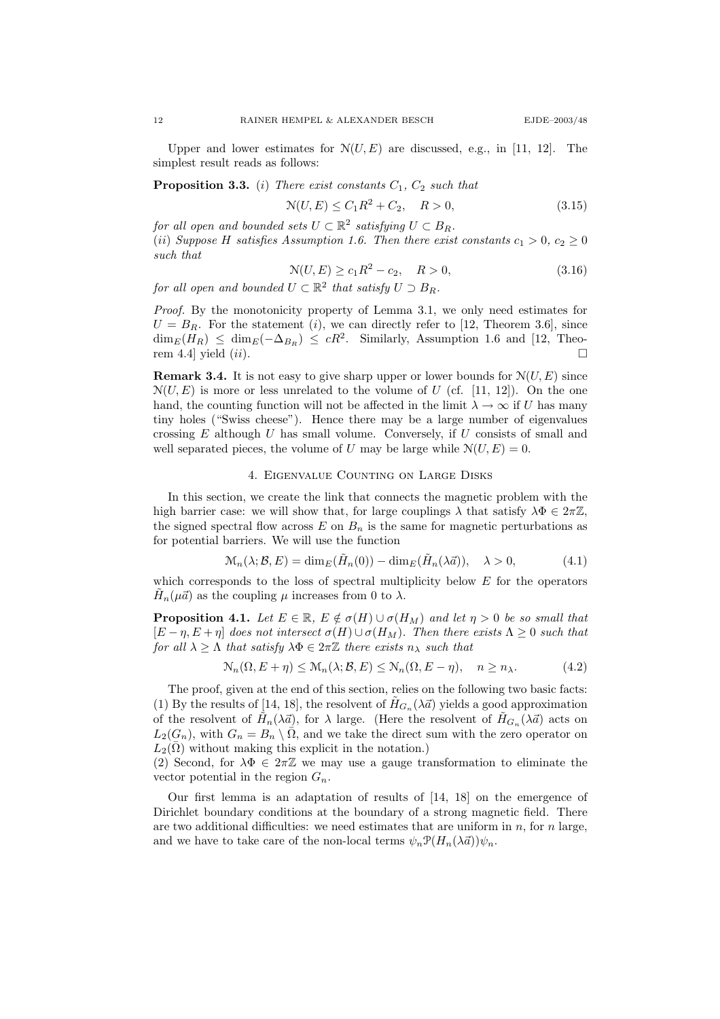Upper and lower estimates for  $\mathcal{N}(U, E)$  are discussed, e.g., in [11, 12]. The simplest result reads as follows:

**Proposition 3.3.** (i) There exist constants  $C_1$ ,  $C_2$  such that

$$
\mathcal{N}(U, E) \le C_1 R^2 + C_2, \quad R > 0,
$$
\n(3.15)

for all open and bounded sets  $U \subset \mathbb{R}^2$  satisfying  $U \subset B_R$ . (ii) Suppose H satisfies Assumption 1.6. Then there exist constants  $c_1 > 0$ ,  $c_2 \ge 0$ such that

$$
\mathcal{N}(U, E) \ge c_1 R^2 - c_2, \quad R > 0,
$$
\n(3.16)

for all open and bounded  $U \subset \mathbb{R}^2$  that satisfy  $U \supset B_R$ .

Proof. By the monotonicity property of Lemma 3.1, we only need estimates for  $U = B_R$ . For the statement (*i*), we can directly refer to [12, Theorem 3.6], since  $\dim_E(H_R) \leq \dim_E(-\Delta_{B_R}) \leq cR^2$ . Similarly, Assumption 1.6 and [12, Theorem 4.4] yield  $(ii)$ .

**Remark 3.4.** It is not easy to give sharp upper or lower bounds for  $N(U, E)$  since  $N(U, E)$  is more or less unrelated to the volume of U (cf. [11, 12]). On the one hand, the counting function will not be affected in the limit  $\lambda \to \infty$  if U has many tiny holes ("Swiss cheese"). Hence there may be a large number of eigenvalues crossing  $E$  although  $U$  has small volume. Conversely, if  $U$  consists of small and well separated pieces, the volume of U may be large while  $\mathcal{N}(U, E) = 0$ .

### 4. Eigenvalue Counting on Large Disks

In this section, we create the link that connects the magnetic problem with the high barrier case: we will show that, for large couplings  $\lambda$  that satisfy  $\lambda \Phi \in 2\pi \mathbb{Z}$ , the signed spectral flow across E on  $B_n$  is the same for magnetic perturbations as for potential barriers. We will use the function

$$
\mathcal{M}_n(\lambda; \mathcal{B}, E) = \dim_E(\tilde{H}_n(0)) - \dim_E(\tilde{H}_n(\lambda \vec{a})), \quad \lambda > 0,
$$
\n(4.1)

which corresponds to the loss of spectral multiplicity below  $E$  for the operators  $\tilde{H}_n(\mu \vec{a})$  as the coupling  $\mu$  increases from 0 to  $\lambda$ .

**Proposition 4.1.** Let  $E \in \mathbb{R}$ ,  $E \notin \sigma(H) \cup \sigma(H_M)$  and let  $\eta > 0$  be so small that  $[E - \eta, E + \eta]$  does not intersect  $\sigma(H) \cup \sigma(H_M)$ . Then there exists  $\Lambda \geq 0$  such that for all  $\lambda \geq \Lambda$  that satisfy  $\lambda \Phi \in 2\pi \mathbb{Z}$  there exists  $n_{\lambda}$  such that

$$
\mathcal{N}_n(\Omega, E + \eta) \le \mathcal{M}_n(\lambda; \mathcal{B}, E) \le \mathcal{N}_n(\Omega, E - \eta), \quad n \ge n_\lambda.
$$
 (4.2)

The proof, given at the end of this section, relies on the following two basic facts: (1) By the results of [14, 18], the resolvent of  $\tilde{H}_{G_n}(\lambda \vec{a})$  yields a good approximation of the resolvent of  $H_n(\lambda \vec{a})$ , for  $\lambda$  large. (Here the resolvent of  $\tilde{H}_{G_n}(\lambda \vec{a})$  acts on  $L_2(G_n)$ , with  $G_n = B_n \setminus \overline{\Omega}$ , and we take the direct sum with the zero operator on  $L_2(\bar{\Omega})$  without making this explicit in the notation.)

(2) Second, for  $\lambda \Phi \in 2\pi \mathbb{Z}$  we may use a gauge transformation to eliminate the vector potential in the region  $G_n$ .

Our first lemma is an adaptation of results of [14, 18] on the emergence of Dirichlet boundary conditions at the boundary of a strong magnetic field. There are two additional difficulties: we need estimates that are uniform in  $n$ , for  $n$  large, and we have to take care of the non-local terms  $\psi_n \mathcal{P}(H_n(\lambda \vec{a}))\psi_n$ .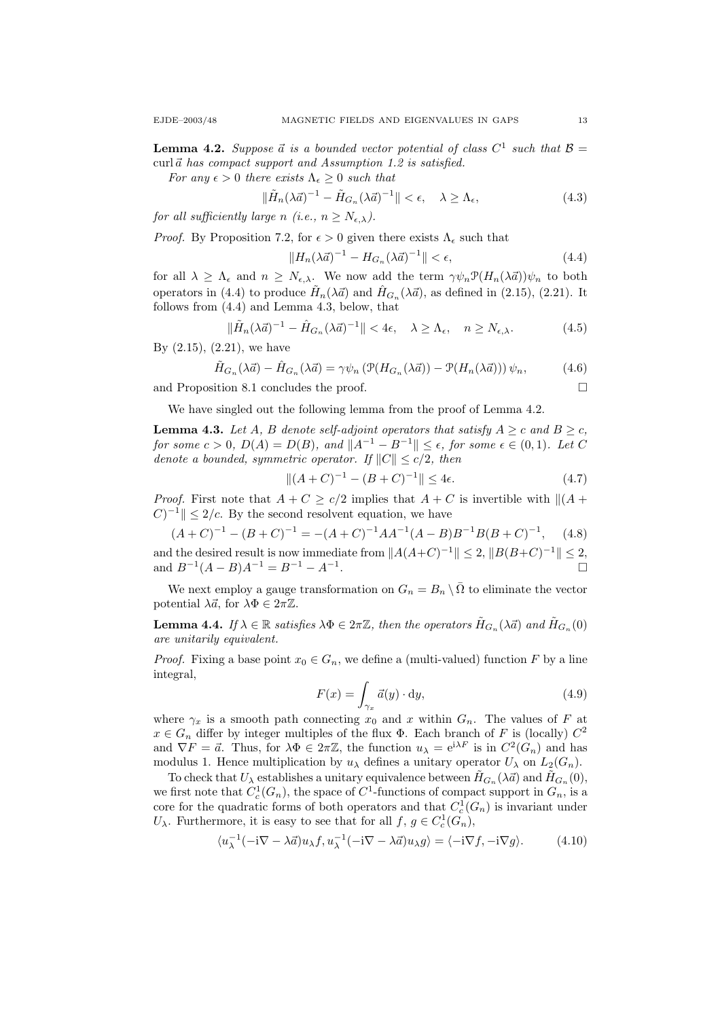**Lemma 4.2.** Suppose  $\vec{a}$  is a bounded vector potential of class  $C^1$  such that  $\mathcal{B} =$ curl $\vec{a}$  has compact support and Assumption 1.2 is satisfied.

For any  $\epsilon > 0$  there exists  $\Lambda_{\epsilon} \geq 0$  such that

$$
\|\tilde{H}_n(\lambda \vec{a})^{-1} - \tilde{H}_{G_n}(\lambda \vec{a})^{-1}\| < \epsilon, \quad \lambda \ge \Lambda_\epsilon,\tag{4.3}
$$

for all sufficiently large n (i.e.,  $n \geq N_{\epsilon,\lambda}$ ).

*Proof.* By Proposition 7.2, for  $\epsilon > 0$  given there exists  $\Lambda_{\epsilon}$  such that

$$
||H_n(\lambda \vec{a})^{-1} - H_{G_n}(\lambda \vec{a})^{-1}|| < \epsilon,
$$
\n(4.4)

for all  $\lambda \geq \Lambda_{\epsilon}$  and  $n \geq N_{\epsilon,\lambda}$ . We now add the term  $\gamma \psi_n \mathcal{P}(H_n(\lambda \vec{a}))\psi_n$  to both operators in (4.4) to produce  $\tilde{H}_n(\lambda \vec{a})$  and  $\hat{H}_{G_n}(\lambda \vec{a})$ , as defined in (2.15), (2.21). It follows from (4.4) and Lemma 4.3, below, that

$$
\|\tilde{H}_n(\lambda \vec{a})^{-1} - \hat{H}_{G_n}(\lambda \vec{a})^{-1}\| < 4\epsilon, \quad \lambda \ge \Lambda_{\epsilon}, \quad n \ge N_{\epsilon,\lambda}.\tag{4.5}
$$

By  $(2.15)$ ,  $(2.21)$ , we have

$$
\tilde{H}_{G_n}(\lambda \vec{a}) - \hat{H}_{G_n}(\lambda \vec{a}) = \gamma \psi_n \left( \mathcal{P}(H_{G_n}(\lambda \vec{a})) - \mathcal{P}(H_n(\lambda \vec{a})) \right) \psi_n, \tag{4.6}
$$

and Proposition 8.1 concludes the proof.

We have singled out the following lemma from the proof of Lemma 4.2.

**Lemma 4.3.** Let A, B denote self-adjoint operators that satisfy  $A \geq c$  and  $B \geq c$ , for some  $c > 0$ ,  $D(A) = D(B)$ , and  $||A^{-1} - B^{-1}|| \leq \epsilon$ , for some  $\epsilon \in (0,1)$ . Let C denote a bounded, symmetric operator. If  $||C|| \le c/2$ , then

$$
||(A+C)^{-1} - (B+C)^{-1}|| \le 4\epsilon.
$$
 (4.7)

*Proof.* First note that  $A + C \ge c/2$  implies that  $A + C$  is invertible with  $||A + D||$  $(C)^{-1}$   $\leq$  2/c. By the second resolvent equation, we have

$$
(A+C)^{-1} - (B+C)^{-1} = -(A+C)^{-1}AA^{-1}(A-B)B^{-1}B(B+C)^{-1}, \quad (4.8)
$$

and the desired result is now immediate from  $||A(A+C)^{-1}|| \leq 2$ ,  $||B(B+C)^{-1}|| \leq 2$ , and  $B^{-1}(A - B)A^{-1} = B^{-1} - A^{-1}$ .

We next employ a gauge transformation on  $G_n = B_n \setminus \overline{\Omega}$  to eliminate the vector potential  $\lambda \vec{a}$ , for  $\lambda \Phi \in 2\pi \mathbb{Z}$ .

**Lemma 4.4.** If  $\lambda \in \mathbb{R}$  satisfies  $\lambda \Phi \in 2\pi \mathbb{Z}$ , then the operators  $\tilde{H}_{G_n}(\lambda \vec{a})$  and  $\tilde{H}_{G_n}(0)$ are unitarily equivalent.

*Proof.* Fixing a base point  $x_0 \in G_n$ , we define a (multi-valued) function F by a line integral,

$$
F(x) = \int_{\gamma_x} \vec{a}(y) \cdot dy,
$$
\n(4.9)

where  $\gamma_x$  is a smooth path connecting  $x_0$  and x within  $G_n$ . The values of F at  $x \in G_n$  differ by integer multiples of the flux  $\Phi$ . Each branch of F is (locally)  $C^2$ and  $\nabla F = \vec{a}$ . Thus, for  $\lambda \Phi \in 2\pi \mathbb{Z}$ , the function  $u_{\lambda} = e^{i\lambda F}$  is in  $C^2(G_n)$  and has modulus 1. Hence multiplication by  $u_{\lambda}$  defines a unitary operator  $U_{\lambda}$  on  $L_2(G_n)$ .

To check that  $U_\lambda$  establishes a unitary equivalence between  $\tilde H_{G_n}(\lambda \vec a)$  and  $\tilde H_{G_n}(0)$ , we first note that  $C_c^1(G_n)$ , the space of  $C^1$ -functions of compact support in  $G_n$ , is a core for the quadratic forms of both operators and that  $C_c^1(G_n)$  is invariant under  $U_{\lambda}$ . Furthermore, it is easy to see that for all  $f, g \in C_c^1(G_n)$ ,

$$
\langle u_{\lambda}^{-1}(-i\nabla - \lambda \vec{a})u_{\lambda}f, u_{\lambda}^{-1}(-i\nabla - \lambda \vec{a})u_{\lambda}g \rangle = \langle -i\nabla f, -i\nabla g \rangle.
$$
 (4.10)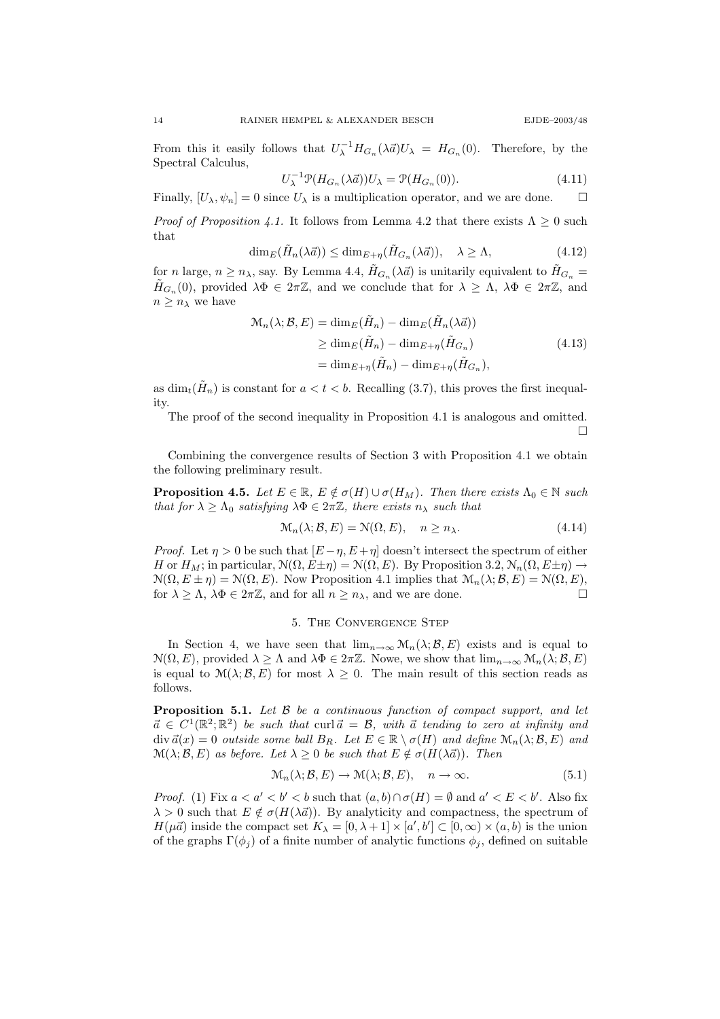$\Box$ 

From this it easily follows that  $U_{\lambda}^{-1}H_{G_n}(\lambda \vec{a})U_{\lambda} = H_{G_n}(0)$ . Therefore, by the Spectral Calculus,

$$
U_{\lambda}^{-1} \mathcal{P}(H_{G_n}(\lambda \vec{a})) U_{\lambda} = \mathcal{P}(H_{G_n}(0)). \tag{4.11}
$$

Finally,  $[U_{\lambda}, \psi_n] = 0$  since  $U_{\lambda}$  is a multiplication operator, and we are done.  $\square$ 

*Proof of Proposition 4.1.* It follows from Lemma 4.2 that there exists  $\Lambda > 0$  such that

$$
\dim_E(\tilde{H}_n(\lambda \vec{a})) \le \dim_{E+\eta}(\tilde{H}_{G_n}(\lambda \vec{a})), \quad \lambda \ge \Lambda,
$$
\n(4.12)

for *n* large,  $n \ge n_\lambda$ , say. By Lemma 4.4,  $\tilde{H}_{G_n}(\lambda \vec{a})$  is unitarily equivalent to  $\tilde{H}_{G_n}$  =  $\tilde{H}_{G_n}(0)$ , provided  $\lambda \Phi \in 2\pi \mathbb{Z}$ , and we conclude that for  $\lambda \geq \Lambda$ ,  $\lambda \Phi \in 2\pi \mathbb{Z}$ , and  $n \geq n_{\lambda}$  we have

$$
\mathcal{M}_n(\lambda; \mathcal{B}, E) = \dim_E(\tilde{H}_n) - \dim_E(\tilde{H}_n(\lambda \vec{a}))
$$
  
\n
$$
\geq \dim_E(\tilde{H}_n) - \dim_{E+\eta}(\tilde{H}_{G_n})
$$
  
\n
$$
= \dim_{E+\eta}(\tilde{H}_n) - \dim_{E+\eta}(\tilde{H}_{G_n}),
$$
\n(4.13)

as  $\dim_t(\tilde{H}_n)$  is constant for  $a < t < b$ . Recalling (3.7), this proves the first inequality.

The proof of the second inequality in Proposition 4.1 is analogous and omitted.

Combining the convergence results of Section 3 with Proposition 4.1 we obtain the following preliminary result.

**Proposition 4.5.** Let  $E \in \mathbb{R}$ ,  $E \notin \sigma(H) \cup \sigma(H_M)$ . Then there exists  $\Lambda_0 \in \mathbb{N}$  such that for  $\lambda \geq \Lambda_0$  satisfying  $\lambda \Phi \in 2\pi \mathbb{Z}$ , there exists  $n_\lambda$  such that

$$
\mathcal{M}_n(\lambda; \mathcal{B}, E) = \mathcal{N}(\Omega, E), \quad n \ge n_\lambda.
$$
\n(4.14)

*Proof.* Let  $\eta > 0$  be such that  $[E - \eta, E + \eta]$  doesn't intersect the spectrum of either H or  $H_M$ ; in particular,  $\mathcal{N}(\Omega, E \pm \eta) = \mathcal{N}(\Omega, E)$ . By Proposition 3.2,  $\mathcal{N}_n(\Omega, E \pm \eta) \rightarrow$  $\mathcal{N}(\Omega, E \pm \eta) = \mathcal{N}(\Omega, E)$ . Now Proposition 4.1 implies that  $\mathcal{M}_n(\lambda; \mathcal{B}, E) = \mathcal{N}(\Omega, E)$ , for  $\lambda \geq \Lambda$ ,  $\lambda \Phi \in 2\pi \mathbb{Z}$ , and for all  $n \geq n_{\lambda}$ , and we are done.

### 5. The Convergence Step

In Section 4, we have seen that  $\lim_{n\to\infty} \mathcal{M}_n(\lambda;\mathcal{B},E)$  exists and is equal to  $\mathcal{N}(\Omega, E)$ , provided  $\lambda \geq \Lambda$  and  $\lambda \Phi \in 2\pi \mathbb{Z}$ . Nowe, we show that  $\lim_{n\to\infty} \mathcal{M}_n(\lambda; \mathcal{B}, E)$ is equal to  $\mathcal{M}(\lambda;\mathcal{B},E)$  for most  $\lambda \geq 0$ . The main result of this section reads as follows.

**Proposition 5.1.** Let  $\beta$  be a continuous function of compact support, and let  $\vec{a} \in C^1(\mathbb{R}^2; \mathbb{R}^2)$  be such that curl $\vec{a} = \mathcal{B}$ , with  $\vec{a}$  tending to zero at infinity and  $\text{div } \vec{a}(x) = 0$  outside some ball  $B_R$ . Let  $E \in \mathbb{R} \setminus \sigma(H)$  and define  $\mathcal{M}_n(\lambda; \mathcal{B}, E)$  and  $\mathcal{M}(\lambda; \mathcal{B}, E)$  as before. Let  $\lambda \geq 0$  be such that  $E \notin \sigma(H(\lambda \vec{a}))$ . Then

$$
\mathcal{M}_n(\lambda; \mathcal{B}, E) \to \mathcal{M}(\lambda; \mathcal{B}, E), \quad n \to \infty.
$$
 (5.1)

*Proof.* (1) Fix  $a < a' < b' < b$  such that  $(a, b) \cap \sigma(H) = \emptyset$  and  $a' < E < b'$ . Also fix  $\lambda > 0$  such that  $E \notin \sigma(H(\lambda \vec{a}))$ . By analyticity and compactness, the spectrum of  $H(\mu \vec{a})$  inside the compact set  $K_{\lambda} = [0, \lambda + 1] \times [a', b'] \subset [0, \infty) \times (a, b)$  is the union of the graphs  $\Gamma(\phi_i)$  of a finite number of analytic functions  $\phi_i$ , defined on suitable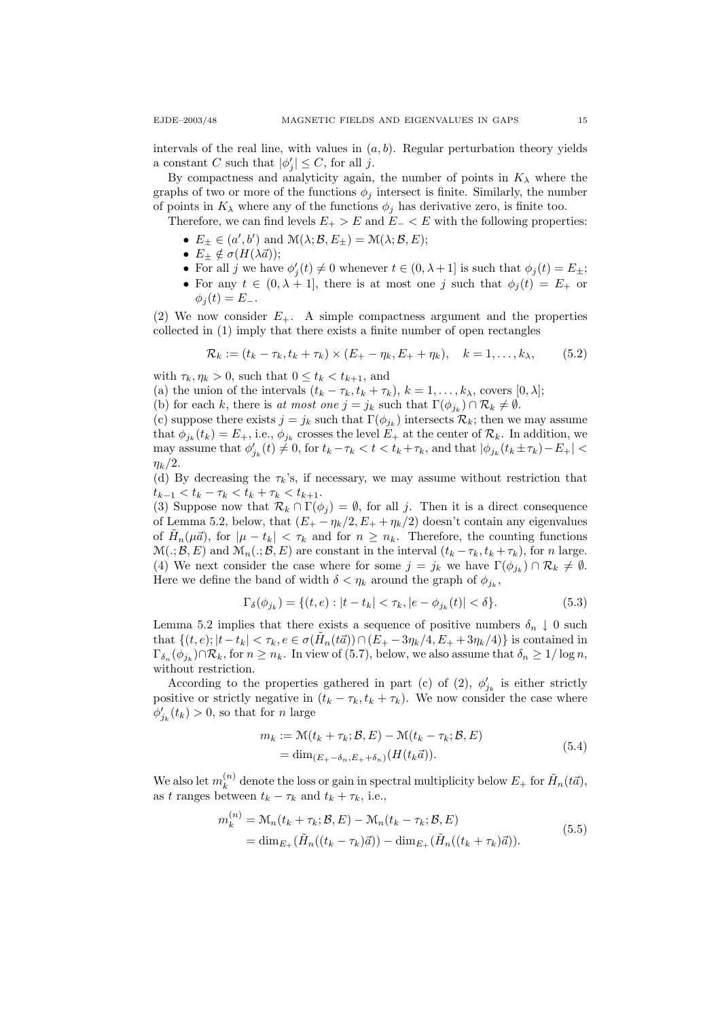intervals of the real line, with values in  $(a, b)$ . Regular perturbation theory yields a constant C such that  $|\phi'_j| \leq C$ , for all j.

By compactness and analyticity again, the number of points in  $K_{\lambda}$  where the graphs of two or more of the functions  $\phi_i$  intersect is finite. Similarly, the number of points in  $K_{\lambda}$  where any of the functions  $\phi_i$  has derivative zero, is finite too.

Therefore, we can find levels  $E_{+} > E$  and  $E_{-} < E$  with the following properties:

- $E_{\pm} \in (a', b')$  and  $\mathcal{M}(\lambda; \mathcal{B}, E_{\pm}) = \mathcal{M}(\lambda; \mathcal{B}, E);$
- $E_{\pm} \notin \sigma(H(\lambda \vec{a}));$
- For all j we have  $\phi'_j(t) \neq 0$  whenever  $t \in (0, \lambda + 1]$  is such that  $\phi_j(t) = E_{\pm};$
- For any  $t \in (0, \lambda + 1]$ , there is at most one j such that  $\phi_i(t) = E_+$  or  $\phi_i(t) = E_-.$

(2) We now consider  $E_{+}$ . A simple compactness argument and the properties collected in (1) imply that there exists a finite number of open rectangles

$$
\mathcal{R}_k := (t_k - \tau_k, t_k + \tau_k) \times (E_+ - \eta_k, E_+ + \eta_k), \quad k = 1, \dots, k_\lambda,
$$
 (5.2)

with  $\tau_k, \eta_k > 0$ , such that  $0 \le t_k < t_{k+1}$ , and

- (a) the union of the intervals  $(t_k \tau_k, t_k + \tau_k)$ ,  $k = 1, \ldots, k_\lambda$ , covers  $[0, \lambda]$ ;
- (b) for each k, there is at most one  $j = j_k$  such that  $\Gamma(\phi_{j_k}) \cap \mathcal{R}_k \neq \emptyset$ .

(c) suppose there exists  $j = j_k$  such that  $\Gamma(\phi_{jk})$  intersects  $\mathcal{R}_k$ ; then we may assume that  $\phi_{j_k}(t_k) = E_+$ , i.e.,  $\phi_{j_k}$  crosses the level  $E_+$  at the center of  $\mathcal{R}_k$ . In addition, we may assume that  $\phi_{j_k}'(t) \neq 0$ , for  $t_k - \tau_k < t < t_k + \tau_k$ , and that  $|\phi_{j_k}(t_k \pm \tau_k) - E_+|$  $\eta_k/2$ .

(d) By decreasing the  $\tau_k$ 's, if necessary, we may assume without restriction that  $t_{k-1} < t_k - \tau_k < t_k + \tau_k < t_{k+1}.$ 

(3) Suppose now that  $\mathcal{R}_k \cap \Gamma(\phi_j) = \emptyset$ , for all j. Then it is a direct consequence of Lemma 5.2, below, that  $(E_{+} - \eta_{k}/2, E_{+} + \eta_{k}/2)$  doesn't contain any eigenvalues of  $\tilde{H}_n(\mu \vec{a})$ , for  $|\mu - t_k| < \tau_k$  and for  $n \geq n_k$ . Therefore, the counting functions  $\mathcal{M}(.;\mathcal{B},E)$  and  $\mathcal{M}_n(.;\mathcal{B},E)$  are constant in the interval  $(t_k - \tau_k, t_k + \tau_k)$ , for n large. (4) We next consider the case where for some  $j = j_k$  we have  $\Gamma(\phi_{j_k}) \cap \mathcal{R}_k \neq \emptyset$ . Here we define the band of width  $\delta < \eta_k$  around the graph of  $\phi_{j_k}$ ,

$$
\Gamma_{\delta}(\phi_{j_k}) = \{ (t, e) : |t - t_k| < \tau_k, |e - \phi_{j_k}(t)| < \delta \}. \tag{5.3}
$$

Lemma 5.2 implies that there exists a sequence of positive numbers  $\delta_n \downarrow 0$  such that  $\{(t, e); |t - t_k| < \tau_k, e \in \sigma(\tilde{H}_n(t\vec{a})) \cap (\bar{E}_+ - 3\eta_k/4, E_+ + 3\eta_k/4)\}$  is contained in  $\Gamma_{\delta_n}(\phi_{j_k}) \cap \mathcal{R}_k$ , for  $n \geq n_k$ . In view of (5.7), below, we also assume that  $\delta_n \geq 1/\log n$ , without restriction.

According to the properties gathered in part (c) of (2),  $\phi'_{jk}$  is either strictly positive or strictly negative in  $(t_k - \tau_k, t_k + \tau_k)$ . We now consider the case where  $\phi'_{j_k}(t_k) > 0$ , so that for *n* large

$$
m_k := \mathcal{M}(t_k + \tau_k; \mathcal{B}, E) - \mathcal{M}(t_k - \tau_k; \mathcal{B}, E)
$$
  
= 
$$
\dim_{(E_+ - \delta_n, E_+ + \delta_n)}(H(t_k \vec{a})).
$$
 (5.4)

We also let  $m_k^{(n)}$  $\hat{u}_{k}^{(n)}$  denote the loss or gain in spectral multiplicity below  $E_{+}$  for  $\tilde{H}_{n}(t\vec{a})$ , as t ranges between  $t_k - \tau_k$  and  $t_k + \tau_k$ , i.e.,

$$
m_k^{(n)} = \mathcal{M}_n(t_k + \tau_k; \mathcal{B}, E) - \mathcal{M}_n(t_k - \tau_k; \mathcal{B}, E)
$$
  
= 
$$
\dim_{E_+}(\tilde{H}_n((t_k - \tau_k)\vec{a})) - \dim_{E_+}(\tilde{H}_n((t_k + \tau_k)\vec{a})).
$$
 (5.5)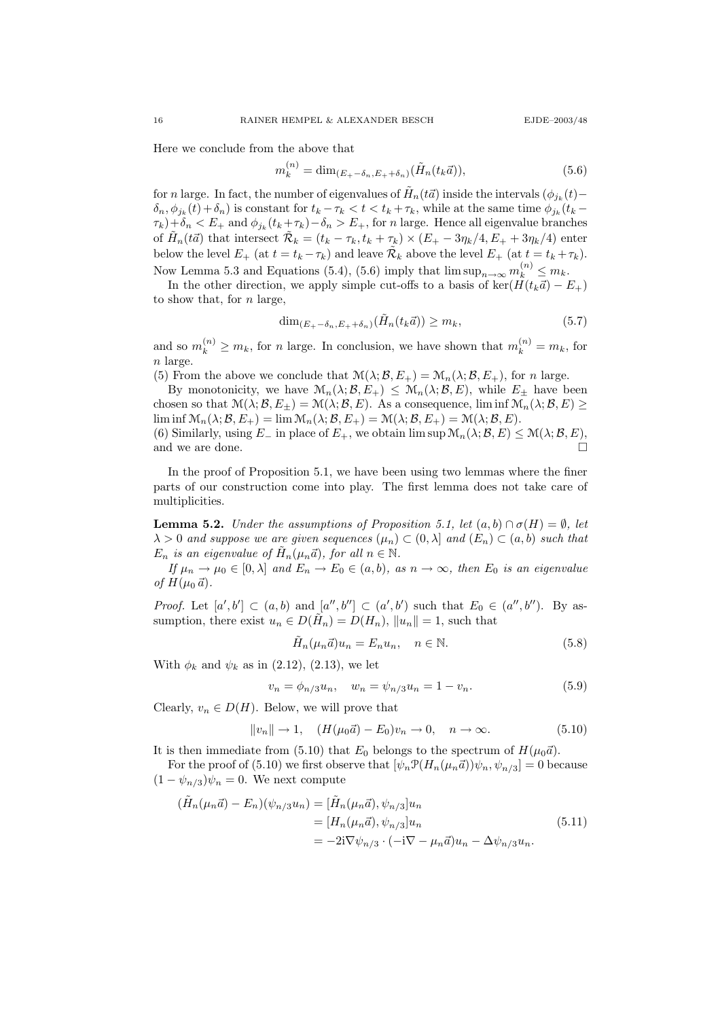Here we conclude from the above that

$$
m_k^{(n)} = \dim_{(E_+ - \delta_n, E_+ + \delta_n)} (\tilde{H}_n(t_k \vec{a})),
$$
\n(5.6)

for *n* large. In fact, the number of eigenvalues of  $\tilde{H}_n(t\vec{a})$  inside the intervals  $(\phi_{j_k}(t) (\delta_n, \phi_{j_k}(t) + \delta_n)$  is constant for  $t_k - \tau_k < t < t_k + \tau_k$ , while at the same time  $\phi_{j_k}(t_k - t_k)$  $\tau_k$ )+ $\delta_n < E_+$  and  $\phi_{j_k}(t_k + \tau_k) - \delta_n > E_+$ , for *n* large. Hence all eigenvalue branches of  $\tilde{H}_n(t\vec{a})$  that intersect  $\tilde{\mathcal{R}}_k = (t_k - \tau_k, t_k + \tau_k) \times (E_+ - 3\eta_k/4, E_+ + 3\eta_k/4)$  enter below the level  $E_+$  (at  $t = t_k - \tau_k$ ) and leave  $\tilde{\mathcal{R}}_k$  above the level  $E_+$  (at  $t = t_k + \tau_k$ ). Now Lemma 5.3 and Equations (5.4), (5.6) imply that  $\limsup_{n\to\infty} m_k^{(n)} \leq m_k$ .

In the other direction, we apply simple cut-offs to a basis of ker( $H(t_k\vec{a}) - E_+$ ) to show that, for  $n$  large,

$$
\dim_{(E_+ - \delta_n, E_+ + \delta_n)}(H_n(t_k \vec{a})) \ge m_k,\tag{5.7}
$$

and so  $m_k^{(n)} \ge m_k$ , for n large. In conclusion, we have shown that  $m_k^{(n)} = m_k$ , for n large.

(5) From the above we conclude that  $\mathcal{M}(\lambda; \mathcal{B}, E_+) = \mathcal{M}_n(\lambda; \mathcal{B}, E_+)$ , for n large.

By monotonicity, we have  $\mathcal{M}_n(\lambda;\mathcal{B},E_+) \leq \mathcal{M}_n(\lambda;\mathcal{B},E)$ , while  $E_{\pm}$  have been chosen so that  $\mathcal{M}(\lambda; \mathcal{B}, E_{\pm}) = \mathcal{M}(\lambda; \mathcal{B}, E)$ . As a consequence, lim inf  $\mathcal{M}_n(\lambda; \mathcal{B}, E) \geq$ lim inf  $\mathcal{M}_n(\lambda; \mathcal{B}, E_+) = \lim \mathcal{M}_n(\lambda; \mathcal{B}, E_+) = \mathcal{M}(\lambda; \mathcal{B}, E_+) = \mathcal{M}(\lambda; \mathcal{B}, E).$ 

(6) Similarly, using  $E_-\$  in place of  $E_+$ , we obtain  $\limsup \mathcal{M}_n(\lambda; \mathcal{B}, E) \leq \mathcal{M}(\lambda; \mathcal{B}, E)$ , and we are done.  $\Box$ 

In the proof of Proposition 5.1, we have been using two lemmas where the finer parts of our construction come into play. The first lemma does not take care of multiplicities.

**Lemma 5.2.** Under the assumptions of Proposition 5.1, let  $(a, b) \cap \sigma(H) = \emptyset$ , let  $\lambda > 0$  and suppose we are given sequences  $(\mu_n) \subset (0, \lambda]$  and  $(E_n) \subset (a, b)$  such that  $E_n$  is an eigenvalue of  $\tilde{H}_n(\mu_n\vec{a})$ , for all  $n \in \mathbb{N}$ .

If  $\mu_n \to \mu_0 \in [0, \lambda]$  and  $E_n \to E_0 \in (a, b)$ , as  $n \to \infty$ , then  $E_0$  is an eigenvalue of  $H(\mu_0 \vec{a})$ .

*Proof.* Let  $[a', b'] \subset (a, b)$  and  $[a'', b''] \subset (a', b')$  such that  $E_0 \in (a'', b'')$ . By assumption, there exist  $u_n \in D(\tilde{H}_n) = D(H_n)$ ,  $||u_n|| = 1$ , such that

$$
\tilde{H}_n(\mu_n \vec{a})u_n = E_n u_n, \quad n \in \mathbb{N}.
$$
\n(5.8)

With  $\phi_k$  and  $\psi_k$  as in (2.12), (2.13), we let

$$
v_n = \phi_{n/3} u_n, \quad w_n = \psi_{n/3} u_n = 1 - v_n. \tag{5.9}
$$

Clearly,  $v_n \in D(H)$ . Below, we will prove that

$$
||v_n|| \to 1
$$
,  $(H(\mu_0 \vec{a}) - E_0)v_n \to 0$ ,  $n \to \infty$ . (5.10)

It is then immediate from (5.10) that  $E_0$  belongs to the spectrum of  $H(\mu_0\vec{a})$ .

For the proof of (5.10) we first observe that  $[\psi_n \mathcal{P}(H_n(\mu_n \vec{a}))\psi_n, \psi_{n/3}] = 0$  because  $(1 - \psi_{n/3})\psi_n = 0$ . We next compute

$$
(\tilde{H}_n(\mu_n \vec{a}) - E_n)(\psi_{n/3} u_n) = [\tilde{H}_n(\mu_n \vec{a}), \psi_{n/3}] u_n
$$
  
= 
$$
[H_n(\mu_n \vec{a}), \psi_{n/3}] u_n
$$
  
= 
$$
-2i \nabla \psi_{n/3} \cdot (-i \nabla - \mu_n \vec{a}) u_n - \Delta \psi_{n/3} u_n.
$$
 (5.11)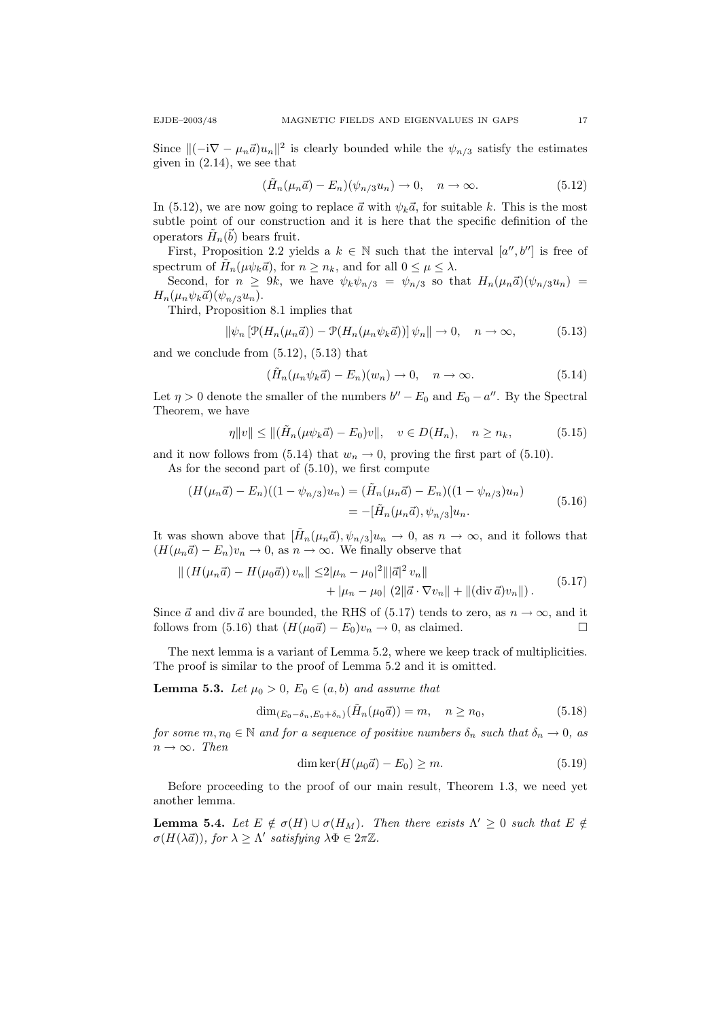Since  $\|(-i\nabla - \mu_n \vec{a})u_n\|^2$  is clearly bounded while the  $\psi_{n/3}$  satisfy the estimates given in (2.14), we see that

$$
(\tilde{H}_n(\mu_n \vec{a}) - E_n)(\psi_{n/3} u_n) \to 0, \quad n \to \infty.
$$
 (5.12)

In (5.12), we are now going to replace  $\vec{a}$  with  $\psi_k \vec{a}$ , for suitable k. This is the most subtle point of our construction and it is here that the specific definition of the operators  $\tilde{H}_n(\vec{b})$  bears fruit.

First, Proposition 2.2 yields a  $k \in \mathbb{N}$  such that the interval  $[a'', b'']$  is free of spectrum of  $\tilde{H}_n(\mu \psi_k \vec{a})$ , for  $n \ge n_k$ , and for all  $0 \le \mu \le \lambda$ .

Second, for  $n \geq 9k$ , we have  $\psi_k \psi_{n/3} = \psi_{n/3}$  so that  $H_n(\mu_n \vec{a})(\psi_{n/3}u_n) =$  $H_n(\mu_n\psi_k\vec{a})(\psi_{n/3}u_n).$ 

Third, Proposition 8.1 implies that

$$
\|\psi_n\left[\mathcal{P}(H_n(\mu_n\vec{a})) - \mathcal{P}(H_n(\mu_n\psi_k\vec{a}))\right]\psi_n\|\to 0, \quad n \to \infty,
$$
 (5.13)

and we conclude from (5.12), (5.13) that

$$
(\tilde{H}_n(\mu_n \psi_k \vec{a}) - E_n)(w_n) \to 0, \quad n \to \infty.
$$
 (5.14)

Let  $\eta > 0$  denote the smaller of the numbers  $b'' - E_0$  and  $E_0 - a''$ . By the Spectral Theorem, we have

$$
\eta \|v\| \le \|\tilde{H}_n(\mu \psi_k \vec{a}) - E_0)v\|, \quad v \in D(H_n), \quad n \ge n_k,
$$
 (5.15)

and it now follows from (5.14) that  $w_n \to 0$ , proving the first part of (5.10). As for the second part of (5.10), we first compute

$$
(H(\mu_n \vec{a}) - E_n)((1 - \psi_{n/3})u_n) = (\tilde{H}_n(\mu_n \vec{a}) - E_n)((1 - \psi_{n/3})u_n)
$$
  
= -[\tilde{H}\_n(\mu\_n \vec{a}), \psi\_{n/3}]u\_n. (5.16)

It was shown above that  $[\tilde{H}_n(\mu_n \vec{a}), \psi_{n/3}]u_n \to 0$ , as  $n \to \infty$ , and it follows that  $(H(\mu_n\vec{a}) - E_n)v_n \to 0$ , as  $n \to \infty$ . We finally observe that

$$
\| (H(\mu_n \vec{a}) - H(\mu_0 \vec{a})) v_n \| \le 2|\mu_n - \mu_0|^2 \| |\vec{a}|^2 v_n \| + |\mu_n - \mu_0| (2 \| \vec{a} \cdot \nabla v_n \| + \| (\operatorname{div} \vec{a}) v_n \|).
$$
(5.17)

Since  $\vec{a}$  and div  $\vec{a}$  are bounded, the RHS of (5.17) tends to zero, as  $n \to \infty$ , and it follows from (5.16) that  $(H(\mu_0\vec{a}) - E_0)v_n \to 0$ , as claimed.

The next lemma is a variant of Lemma 5.2, where we keep track of multiplicities. The proof is similar to the proof of Lemma 5.2 and it is omitted.

**Lemma 5.3.** Let  $\mu_0 > 0$ ,  $E_0 \in (a, b)$  and assume that

$$
\dim_{(E_0 - \delta_n, E_0 + \delta_n)}(\tilde{H}_n(\mu_0 \vec{a})) = m, \quad n \ge n_0,
$$
\n
$$
(5.18)
$$

for some  $m, n_0 \in \mathbb{N}$  and for a sequence of positive numbers  $\delta_n$  such that  $\delta_n \to 0$ , as  $n \to \infty$ . Then

$$
\dim \ker(H(\mu_0 \vec{a}) - E_0) \ge m. \tag{5.19}
$$

Before proceeding to the proof of our main result, Theorem 1.3, we need yet another lemma.

**Lemma 5.4.** Let  $E \notin \sigma(H) \cup \sigma(H_M)$ . Then there exists  $\Lambda' \geq 0$  such that  $E \notin$  $\sigma(H(\lambda \vec{a}))$ , for  $\lambda \geq \Lambda'$  satisfying  $\lambda \Phi \in 2\pi \mathbb{Z}$ .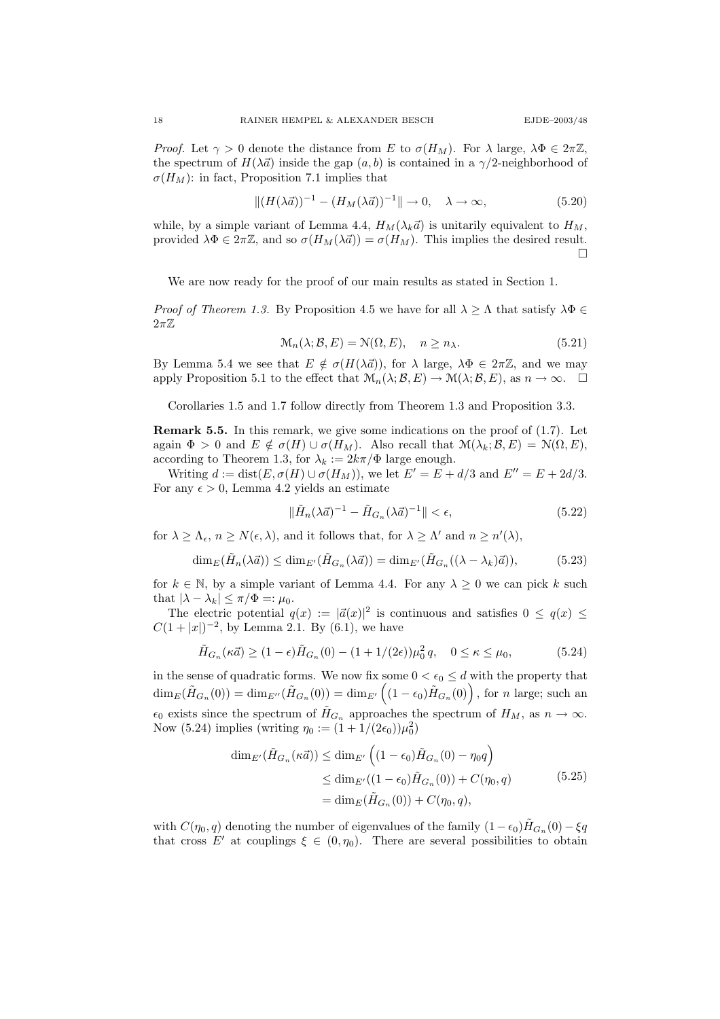*Proof.* Let  $\gamma > 0$  denote the distance from E to  $\sigma(H_M)$ . For  $\lambda$  large,  $\lambda \Phi \in 2\pi \mathbb{Z}$ , the spectrum of  $H(\lambda \vec{a})$  inside the gap  $(a, b)$  is contained in a  $\gamma/2$ -neighborhood of  $\sigma(H_M)$ : in fact, Proposition 7.1 implies that

$$
||(H(\lambda \vec{a}))^{-1} - (H_M(\lambda \vec{a}))^{-1}|| \to 0, \quad \lambda \to \infty,
$$
\n(5.20)

while, by a simple variant of Lemma 4.4,  $H_M(\lambda_k \vec{a})$  is unitarily equivalent to  $H_M$ , provided  $\lambda \Phi \in 2\pi \mathbb{Z}$ , and so  $\sigma(H_M(\lambda \vec{a})) = \sigma(H_M)$ . This implies the desired result.  $\Box$ 

We are now ready for the proof of our main results as stated in Section 1.

*Proof of Theorem 1.3.* By Proposition 4.5 we have for all  $\lambda \geq \Lambda$  that satisfy  $\lambda \Phi \in$  $2\pi\mathbb{Z}$ 

$$
\mathcal{M}_n(\lambda; \mathcal{B}, E) = \mathcal{N}(\Omega, E), \quad n \ge n_\lambda.
$$
\n(5.21)

By Lemma 5.4 we see that  $E \notin \sigma(H(\lambda \vec{a}))$ , for  $\lambda$  large,  $\lambda \Phi \in 2\pi \mathbb{Z}$ , and we may apply Proposition 5.1 to the effect that  $\mathcal{M}_n(\lambda; \mathcal{B}, E) \to \mathcal{M}(\lambda; \mathcal{B}, E)$ , as  $n \to \infty$ .  $\Box$ 

Corollaries 1.5 and 1.7 follow directly from Theorem 1.3 and Proposition 3.3.

**Remark 5.5.** In this remark, we give some indications on the proof of  $(1.7)$ . Let again  $\Phi > 0$  and  $E \notin \sigma(H) \cup \sigma(H_M)$ . Also recall that  $\mathcal{M}(\lambda_k; \mathcal{B}, E) = \mathcal{N}(\Omega, E)$ , according to Theorem 1.3, for  $\lambda_k := 2k\pi/\Phi$  large enough.

Writing  $d := \text{dist}(E, \sigma(H) \cup \sigma(H_M))$ , we let  $E' = E + d/3$  and  $E'' = E + 2d/3$ . For any  $\epsilon > 0$ , Lemma 4.2 yields an estimate

$$
\|\tilde{H}_n(\lambda \vec{a})^{-1} - \tilde{H}_{G_n}(\lambda \vec{a})^{-1}\| < \epsilon,\tag{5.22}
$$

for  $\lambda \geq \Lambda_{\epsilon}$ ,  $n \geq N(\epsilon, \lambda)$ , and it follows that, for  $\lambda \geq \Lambda'$  and  $n \geq n'(\lambda)$ ,

$$
\dim_E(\tilde{H}_n(\lambda \vec{a})) \le \dim_{E'}(\tilde{H}_{G_n}(\lambda \vec{a})) = \dim_{E'}(\tilde{H}_{G_n}((\lambda - \lambda_k)\vec{a})),\tag{5.23}
$$

for  $k \in \mathbb{N}$ , by a simple variant of Lemma 4.4. For any  $\lambda \geq 0$  we can pick k such that  $|\lambda - \lambda_k| \leq \pi/\Phi =: \mu_0$ .

The electric potential  $q(x) := |\vec{a}(x)|^2$  is continuous and satisfies  $0 \leq q(x) \leq$  $C(1+|x|)^{-2}$ , by Lemma 2.1. By (6.1), we have

$$
\tilde{H}_{G_n}(\kappa \vec{a}) \ge (1 - \epsilon) \tilde{H}_{G_n}(0) - (1 + 1/(2\epsilon)) \mu_0^2 q, \quad 0 \le \kappa \le \mu_0,
$$
\n(5.24)

in the sense of quadratic forms. We now fix some  $0 < \epsilon_0 \le d$  with the property that  $\dim_E(\tilde{H}_{G_n}(0)) = \dim_{E''}(\tilde{H}_{G_n}(0)) = \dim_{E'}((1 - \epsilon_0)\tilde{H}_{G_n}(0))$ , for n large; such an  $\epsilon_0$  exists since the spectrum of  $\tilde{H}_{G_n}$  approaches the spectrum of  $H_M$ , as  $n \to \infty$ . Now (5.24) implies (writing  $\eta_0 := (1 + 1/(2\epsilon_0))\mu_0^2$ )

$$
\dim_{E'}(\tilde{H}_{G_n}(\kappa \vec{a})) \le \dim_{E'} \left( (1 - \epsilon_0) \tilde{H}_{G_n}(0) - \eta_0 q \right)
$$
  
\n
$$
\le \dim_{E'} ((1 - \epsilon_0) \tilde{H}_{G_n}(0)) + C(\eta_0, q)
$$
  
\n
$$
= \dim_E(\tilde{H}_{G_n}(0)) + C(\eta_0, q), \qquad (5.25)
$$

with  $C(\eta_0, q)$  denoting the number of eigenvalues of the family  $(1 - \epsilon_0) \tilde{H}_{G_n}(0) - \xi q$ that cross E' at couplings  $\xi \in (0, \eta_0)$ . There are several possibilities to obtain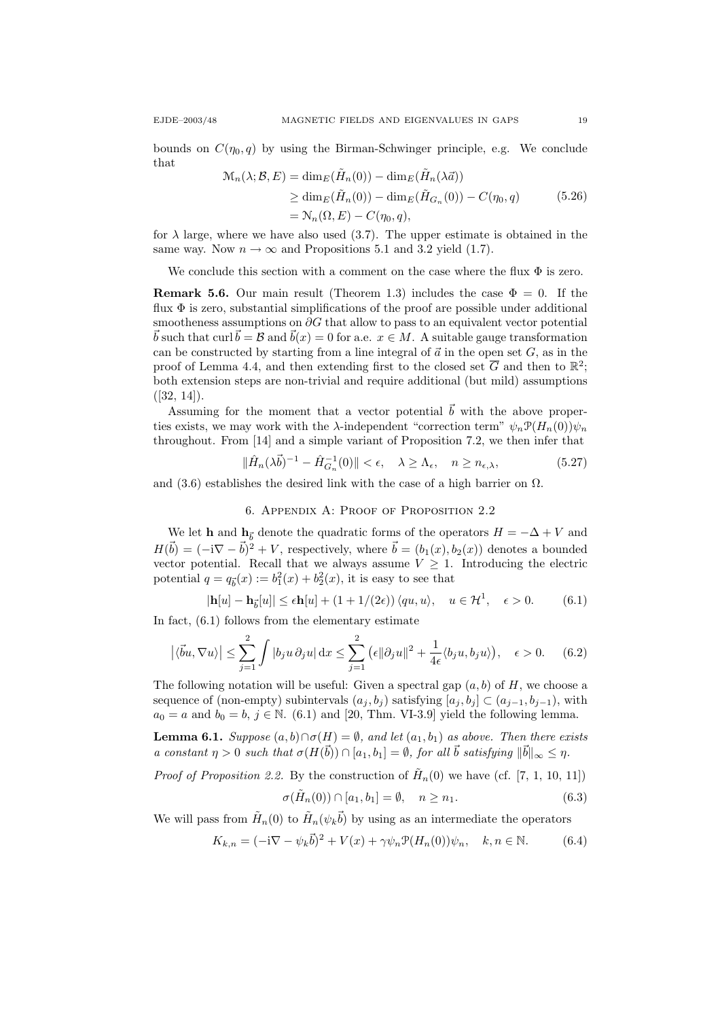bounds on  $C(\eta_0, q)$  by using the Birman-Schwinger principle, e.g. We conclude that

$$
\mathcal{M}_n(\lambda; \mathcal{B}, E) = \dim_E(\tilde{H}_n(0)) - \dim_E(\tilde{H}_n(\lambda \vec{a}))
$$
  
\n
$$
\geq \dim_E(\tilde{H}_n(0)) - \dim_E(\tilde{H}_{G_n}(0)) - C(\eta_0, q)
$$
  
\n
$$
= \mathcal{N}_n(\Omega, E) - C(\eta_0, q),
$$
\n(5.26)

for  $\lambda$  large, where we have also used (3.7). The upper estimate is obtained in the same way. Now  $n \to \infty$  and Propositions 5.1 and 3.2 yield (1.7).

We conclude this section with a comment on the case where the flux  $\Phi$  is zero.

**Remark 5.6.** Our main result (Theorem 1.3) includes the case  $\Phi = 0$ . If the flux  $\Phi$  is zero, substantial simplifications of the proof are possible under additional smootheness assumptions on  $\partial G$  that allow to pass to an equivalent vector potential  $\vec{b}$  such that curl  $\vec{b} = \mathcal{B}$  and  $\vec{b}(x) = 0$  for a.e.  $x \in M$ . A suitable gauge transformation can be constructed by starting from a line integral of  $\vec{a}$  in the open set G, as in the proof of Lemma 4.4, and then extending first to the closed set  $\overline{G}$  and then to  $\mathbb{R}^2$ ; both extension steps are non-trivial and require additional (but mild) assumptions  $([32, 14]).$ 

Assuming for the moment that a vector potential  $\vec{b}$  with the above properties exists, we may work with the  $\lambda$ -independent "correction term"  $\psi_n \mathcal{P}(H_n(0))\psi_n$ throughout. From [14] and a simple variant of Proposition 7.2, we then infer that

$$
\|\hat{H}_n(\lambda \vec{b})^{-1} - \hat{H}_{G_n}^{-1}(0)\| < \epsilon, \quad \lambda \ge \Lambda_\epsilon, \quad n \ge n_{\epsilon,\lambda},\tag{5.27}
$$

and (3.6) establishes the desired link with the case of a high barrier on  $\Omega$ .

### 6. Appendix A: Proof of Proposition 2.2

We let **h** and  $h_{\vec{b}}$  denote the quadratic forms of the operators  $H = -\Delta + V$  and  $H(\vec{b}) = (-i\nabla - \vec{b})^2 + V$ , respectively, where  $\vec{b} = (b_1(x), b_2(x))$  denotes a bounded vector potential. Recall that we always assume  $V \geq 1$ . Introducing the electric potential  $q = q_{\vec{b}}(x) := b_1^2(x) + b_2^2(x)$ , it is easy to see that

$$
|\mathbf{h}[u] - \mathbf{h}_{\vec{b}}[u]| \le \epsilon \mathbf{h}[u] + (1 + 1/(2\epsilon)) \langle qu, u \rangle, \quad u \in \mathcal{H}^1, \quad \epsilon > 0. \tag{6.1}
$$

In fact,  $(6.1)$  follows from the elementary estimate

$$
\left| \langle \vec{b}u, \nabla u \rangle \right| \leq \sum_{j=1}^{2} \int |b_j u \, \partial_j u| \, dx \leq \sum_{j=1}^{2} \left( \epsilon \| \partial_j u \|^2 + \frac{1}{4\epsilon} \langle b_j u, b_j u \rangle \right), \quad \epsilon > 0. \tag{6.2}
$$

The following notation will be useful: Given a spectral gap  $(a, b)$  of H, we choose a sequence of (non-empty) subintervals  $(a_j, b_j)$  satisfying  $[a_j, b_j] \subset (a_{j-1}, b_{j-1})$ , with  $a_0 = a$  and  $b_0 = b$ ,  $j \in \mathbb{N}$ . (6.1) and [20, Thm. VI-3.9] yield the following lemma.

**Lemma 6.1.** Suppose  $(a, b) \cap \sigma(H) = \emptyset$ , and let  $(a_1, b_1)$  as above. Then there exists a constant  $\eta > 0$  such that  $\sigma(H(\vec{b})) \cap [a_1, b_1] = \emptyset$ , for all  $\vec{b}$  satisfying  $\|\vec{b}\|_{\infty} \leq \eta$ .

*Proof of Proposition 2.2.* By the construction of  $\tilde{H}_n(0)$  we have (cf. [7, 1, 10, 11])

$$
\sigma(\tilde{H}_n(0)) \cap [a_1, b_1] = \emptyset, \quad n \ge n_1. \tag{6.3}
$$

We will pass from  $\tilde{H}_n(0)$  to  $\tilde{H}_n(\psi_k \vec{b})$  by using as an intermediate the operators

$$
K_{k,n} = (-\mathrm{i}\nabla - \psi_k \vec{b})^2 + V(x) + \gamma \psi_n \mathcal{P}(H_n(0))\psi_n, \quad k, n \in \mathbb{N}.
$$
 (6.4)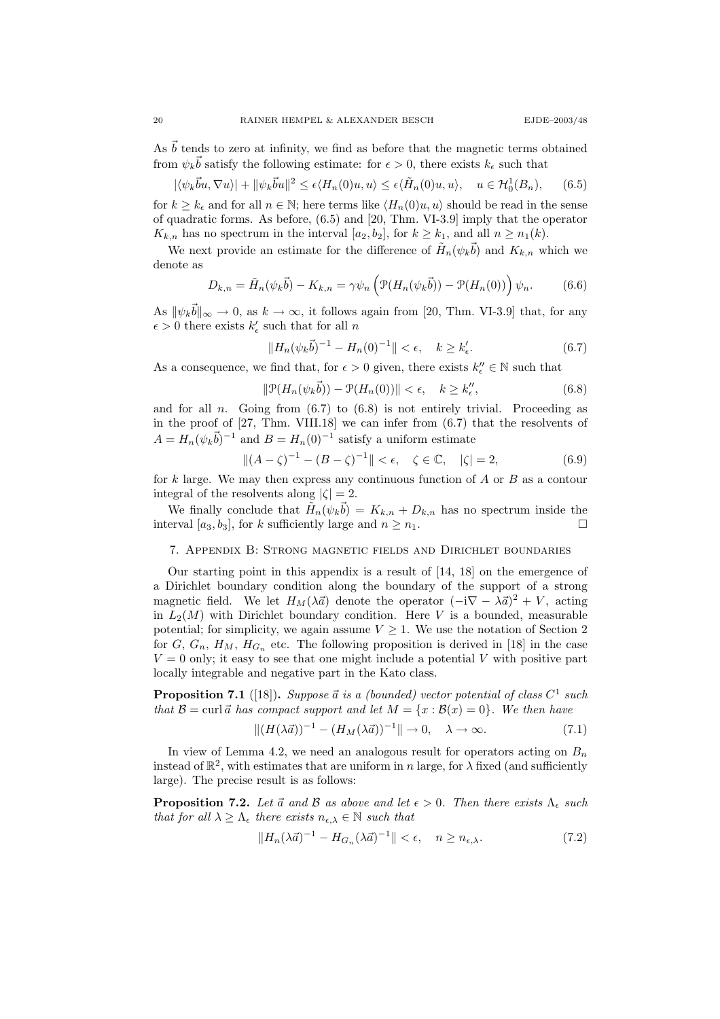As  $\bar{b}$  tends to zero at infinity, we find as before that the magnetic terms obtained from  $\psi_k \vec{b}$  satisfy the following estimate: for  $\epsilon > 0$ , there exists  $k_{\epsilon}$  such that

$$
|\langle \psi_k \vec{b} u, \nabla u \rangle| + ||\psi_k \vec{b} u||^2 \le \epsilon \langle H_n(0) u, u \rangle \le \epsilon \langle \tilde{H}_n(0) u, u \rangle, \quad u \in \mathcal{H}_0^1(B_n), \tag{6.5}
$$

for  $k \geq k_{\epsilon}$  and for all  $n \in \mathbb{N}$ ; here terms like  $\langle H_n(0)u, u \rangle$  should be read in the sense of quadratic forms. As before, (6.5) and [20, Thm. VI-3.9] imply that the operator  $K_{k,n}$  has no spectrum in the interval  $[a_2, b_2]$ , for  $k \geq k_1$ , and all  $n \geq n_1(k)$ .

We next provide an estimate for the difference of  $\tilde{H}_n(\psi_k \vec{b})$  and  $K_{k,n}$  which we denote as

$$
D_{k,n} = \tilde{H}_n(\psi_k \vec{b}) - K_{k,n} = \gamma \psi_n \left( \mathcal{P}(H_n(\psi_k \vec{b})) - \mathcal{P}(H_n(0)) \right) \psi_n.
$$
 (6.6)

As  $\|\psi_k \vec{b}\|_{\infty} \to 0$ , as  $k \to \infty$ , it follows again from [20, Thm. VI-3.9] that, for any  $\epsilon > 0$  there exists  $k'_\epsilon$  such that for all  $n$ 

$$
||H_n(\psi_k \vec{b})^{-1} - H_n(0)^{-1}|| < \epsilon, \quad k \ge k'_{\epsilon}.
$$
 (6.7)

As a consequence, we find that, for  $\epsilon > 0$  given, there exists  $k''_{\epsilon} \in \mathbb{N}$  such that

$$
\|\mathcal{P}(H_n(\psi_k \vec{b})) - \mathcal{P}(H_n(0))\| < \epsilon, \quad k \ge k_{\epsilon}^{\prime\prime},\tag{6.8}
$$

and for all n. Going from  $(6.7)$  to  $(6.8)$  is not entirely trivial. Proceeding as in the proof of  $[27, Thm. VIII.18]$  we can infer from  $(6.7)$  that the resolvents of  $A = H_n(\psi_k \vec{b})^{-1}$  and  $B = H_n(0)^{-1}$  satisfy a uniform estimate

$$
||(A - \zeta)^{-1} - (B - \zeta)^{-1}|| < \epsilon, \quad \zeta \in \mathbb{C}, \quad |\zeta| = 2,
$$
\n(6.9)

for  $k$  large. We may then express any continuous function of  $A$  or  $B$  as a contour integral of the resolvents along  $|\zeta| = 2$ .

We finally conclude that  $\tilde{H}_n(\psi_k \vec{b}) = K_{k,n} + D_{k,n}$  has no spectrum inside the interval  $[a_3, b_3]$ , for k sufficiently large and  $n \geq n_1$ .

### 7. Appendix B: Strong magnetic fields and Dirichlet boundaries

Our starting point in this appendix is a result of [14, 18] on the emergence of a Dirichlet boundary condition along the boundary of the support of a strong magnetic field. We let  $H_M(\lambda \vec{a})$  denote the operator  $(-i\nabla - \lambda \vec{a})^2 + V$ , acting in  $L_2(M)$  with Dirichlet boundary condition. Here V is a bounded, measurable potential; for simplicity, we again assume  $V \geq 1$ . We use the notation of Section 2 for  $G, G_n, H_M, H_{G_n}$  etc. The following proposition is derived in [18] in the case  $V = 0$  only; it easy to see that one might include a potential V with positive part locally integrable and negative part in the Kato class.

**Proposition 7.1** ([18]). Suppose  $\vec{a}$  is a (bounded) vector potential of class  $C^1$  such that  $\mathcal{B} = \text{curl}~\vec{a}$  has compact support and let  $M = \{x : B(x) = 0\}$ . We then have

$$
||(H(\lambda \vec{a}))^{-1} - (H_M(\lambda \vec{a}))^{-1}|| \to 0, \quad \lambda \to \infty.
$$
\n(7.1)

In view of Lemma 4.2, we need an analogous result for operators acting on  $B_n$ instead of  $\mathbb{R}^2$ , with estimates that are uniform in n large, for  $\lambda$  fixed (and sufficiently large). The precise result is as follows:

**Proposition 7.2.** Let  $\vec{a}$  and  $\vec{B}$  as above and let  $\epsilon > 0$ . Then there exists  $\Lambda_{\epsilon}$  such that for all  $\lambda \geq \Lambda_{\epsilon}$  there exists  $n_{\epsilon,\lambda} \in \mathbb{N}$  such that

$$
||H_n(\lambda \vec{a})^{-1} - H_{G_n}(\lambda \vec{a})^{-1}|| < \epsilon, \quad n \ge n_{\epsilon, \lambda}.
$$
 (7.2)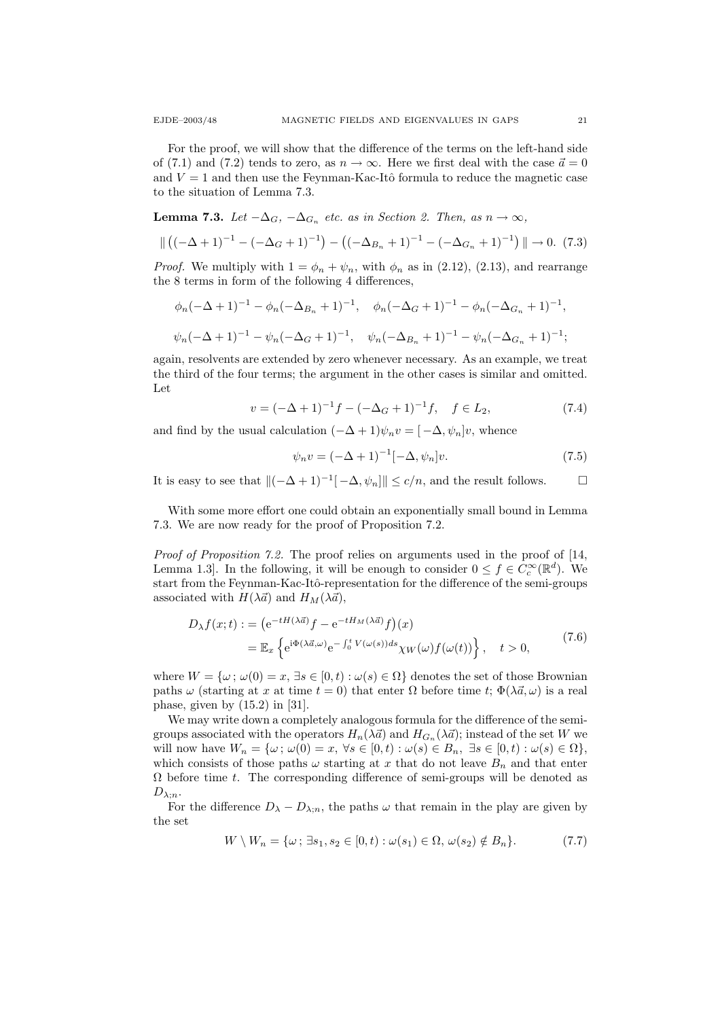For the proof, we will show that the difference of the terms on the left-hand side of (7.1) and (7.2) tends to zero, as  $n \to \infty$ . Here we first deal with the case  $\vec{a} = 0$ and  $V = 1$  and then use the Feynman-Kac-Itô formula to reduce the magnetic case to the situation of Lemma 7.3.

**Lemma 7.3.** Let  $-\Delta_G$ ,  $-\Delta_{G_n}$  etc. as in Section 2. Then, as  $n \to \infty$ ,

$$
\| ((-\Delta + 1)^{-1} - (-\Delta_G + 1)^{-1}) - ((-\Delta_{B_n} + 1)^{-1} - (-\Delta_{G_n} + 1)^{-1}) \| \to 0. \tag{7.3}
$$

*Proof.* We multiply with  $1 = \phi_n + \psi_n$ , with  $\phi_n$  as in (2.12), (2.13), and rearrange the 8 terms in form of the following 4 differences,

$$
\phi_n(-\Delta+1)^{-1} - \phi_n(-\Delta_{B_n}+1)^{-1}, \quad \phi_n(-\Delta_{G}+1)^{-1} - \phi_n(-\Delta_{G_n}+1)^{-1},
$$
  

$$
\psi_n(-\Delta+1)^{-1} - \psi_n(-\Delta_{G}+1)^{-1}, \quad \psi_n(-\Delta_{B_n}+1)^{-1} - \psi_n(-\Delta_{G_n}+1)^{-1};
$$

again, resolvents are extended by zero whenever necessary. As an example, we treat the third of the four terms; the argument in the other cases is similar and omitted. Let

$$
v = (-\Delta + 1)^{-1}f - (-\Delta_G + 1)^{-1}f, \quad f \in L_2,
$$
\n(7.4)

and find by the usual calculation  $(-\Delta + 1)\psi_n v = [-\Delta, \psi_n]v$ , whence

$$
\psi_n v = (-\Delta + 1)^{-1} [-\Delta, \psi_n] v.
$$
\n(7.5)

It is easy to see that  $\|(-\Delta + 1)^{-1}[-\Delta, \psi_n]\| \le c/n$ , and the result follows.  $\Box$ 

With some more effort one could obtain an exponentially small bound in Lemma 7.3. We are now ready for the proof of Proposition 7.2.

Proof of Proposition 7.2. The proof relies on arguments used in the proof of [14, Lemma 1.3. In the following, it will be enough to consider  $0 \le f \in C_c^{\infty}(\mathbb{R}^d)$ . We start from the Feynman-Kac-Itô-representation for the difference of the semi-groups associated with  $H(\lambda \vec{a})$  and  $H_M(\lambda \vec{a})$ ,

$$
D_{\lambda}f(x;t) := (e^{-tH(\lambda\vec{a})}f - e^{-tH_M(\lambda\vec{a})}f)(x)
$$
  
= 
$$
\mathbb{E}_x \left\{ e^{i\Phi(\lambda\vec{a},\omega)} e^{-\int_0^t V(\omega(s))ds} \chi_W(\omega) f(\omega(t)) \right\}, \quad t > 0,
$$
 (7.6)

where  $W = \{\omega, \omega(0) = x, \exists s \in [0, t) : \omega(s) \in \Omega\}$  denotes the set of those Brownian paths  $\omega$  (starting at x at time  $t = 0$ ) that enter  $\Omega$  before time t;  $\Phi(\lambda \vec{a}, \omega)$  is a real phase, given by  $(15.2)$  in [31].

We may write down a completely analogous formula for the difference of the semigroups associated with the operators  $H_n(\lambda \vec{a})$  and  $H_{G_n}(\lambda \vec{a})$ ; instead of the set W we will now have  $W_n = \{\omega; \omega(0) = x, \forall s \in [0, t) : \omega(s) \in B_n, \exists s \in [0, t) : \omega(s) \in \Omega\},\$ which consists of those paths  $\omega$  starting at x that do not leave  $B_n$  and that enter  $\Omega$  before time t. The corresponding difference of semi-groups will be denoted as  $D_{\lambda;n}$ .

For the difference  $D_{\lambda} - D_{\lambda:n}$ , the paths  $\omega$  that remain in the play are given by the set

$$
W \setminus W_n = \{ \omega \, ; \, \exists s_1, s_2 \in [0, t) : \omega(s_1) \in \Omega, \, \omega(s_2) \notin B_n \}. \tag{7.7}
$$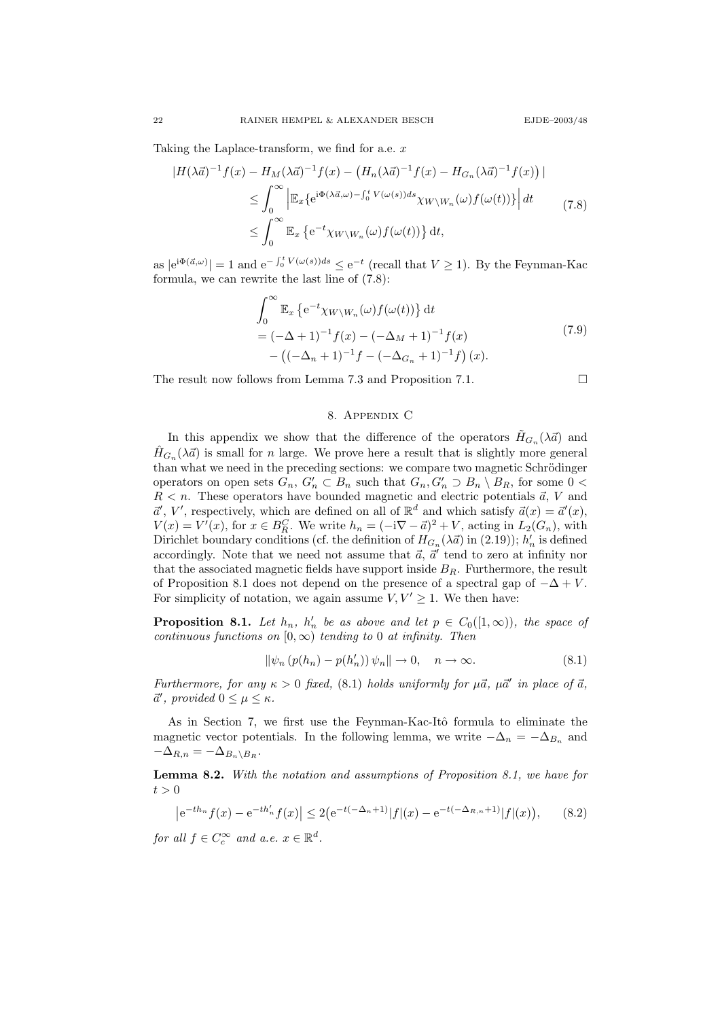Taking the Laplace-transform, we find for a.e. x

$$
\begin{split} |H(\lambda \vec{a})^{-1} f(x) - H_M(\lambda \vec{a})^{-1} f(x) - \left( H_n(\lambda \vec{a})^{-1} f(x) - H_{G_n}(\lambda \vec{a})^{-1} f(x) \right) | \\ &\leq \int_0^\infty \left| \mathbb{E}_x \{ e^{i\Phi(\lambda \vec{a}, \omega) - \int_0^t V(\omega(s)) ds} \chi_{W \setminus W_n}(\omega) f(\omega(t)) \} \right| dt \\ &\leq \int_0^\infty \mathbb{E}_x \left\{ e^{-t} \chi_{W \setminus W_n}(\omega) f(\omega(t)) \right\} dt, \end{split} \tag{7.8}
$$

as  $|e^{i\Phi(\vec{a},\omega)}| = 1$  and  $e^{-\int_0^t V(\omega(s))ds} \le e^{-t}$  (recall that  $V \ge 1$ ). By the Feynman-Kac formula, we can rewrite the last line of (7.8):

$$
\int_0^\infty \mathbb{E}_x \left\{ e^{-t} \chi_{W \setminus W_n}(\omega) f(\omega(t)) \right\} dt
$$
  
=  $(-\Delta + 1)^{-1} f(x) - (-\Delta_M + 1)^{-1} f(x)$   
 $- ((-\Delta_n + 1)^{-1} f - (-\Delta_{G_n} + 1)^{-1} f) (x).$  (7.9)

The result now follows from Lemma 7.3 and Proposition 7.1.

$$
\Box
$$

## 8. Appendix C

In this appendix we show that the difference of the operators  $H_{G_n}(\lambda \vec{a})$  and  $\hat{H}_{G_n}(\lambda \vec{a})$  is small for n large. We prove here a result that is slightly more general than what we need in the preceding sections: we compare two magnetic Schrödinger operators on open sets  $G_n$ ,  $G'_n \subset B_n$  such that  $G_n$ ,  $G'_n \supset B_n \setminus B_n$ , for some  $0 <$  $R < n$ . These operators have bounded magnetic and electric potentials  $\vec{a}$ , V and  $\vec{a}', V'$ , respectively, which are defined on all of  $\mathbb{R}^d$  and which satisfy  $\vec{a}(x) = \vec{a}'(x)$ ,  $V(x) = V'(x)$ , for  $x \in B_R^C$ . We write  $h_n = (-i\nabla - \vec{a})^2 + V$ , acting in  $L_2(G_n)$ , with Dirichlet boundary conditions (cf. the definition of  $H_{G_n}(\lambda \vec{a})$  in (2.19));  $h'_n$  is defined accordingly. Note that we need not assume that  $\vec{a}$ ,  $\vec{a}'$  tend to zero at infinity nor that the associated magnetic fields have support inside  $B_R$ . Furthermore, the result of Proposition 8.1 does not depend on the presence of a spectral gap of  $-\Delta + V$ . For simplicity of notation, we again assume  $V, V' \geq 1$ . We then have:

**Proposition 8.1.** Let  $h_n$ ,  $h'_n$  be as above and let  $p \in C_0([1,\infty))$ , the space of continuous functions on  $[0, \infty)$  tending to 0 at infinity. Then

$$
\|\psi_n\left(p(h_n) - p(h'_n)\right)\psi_n\| \to 0, \quad n \to \infty. \tag{8.1}
$$

Furthermore, for any  $\kappa > 0$  fixed, (8.1) holds uniformly for  $\mu \vec{a}$ ,  $\mu \vec{a}'$  in place of  $\vec{a}$ ,  $\vec{a}',$  provided  $0 \leq \mu \leq \kappa$ .

As in Section 7, we first use the Feynman-Kac-Itô formula to eliminate the magnetic vector potentials. In the following lemma, we write  $-\Delta_n = -\Delta_{B_n}$  and  $-\Delta_{R,n} = -\Delta_{B_n\setminus B_R}.$ 

Lemma 8.2. With the notation and assumptions of Proposition 8.1, we have for  $t > 0$ 

$$
\left| e^{-th_n} f(x) - e^{-th'_n} f(x) \right| \le 2 \left( e^{-t(-\Delta_n + 1)} |f|(x) - e^{-t(-\Delta_{R,n} + 1)} |f|(x) \right), \tag{8.2}
$$

for all  $f \in C_c^{\infty}$  and a.e.  $x \in \mathbb{R}^d$ .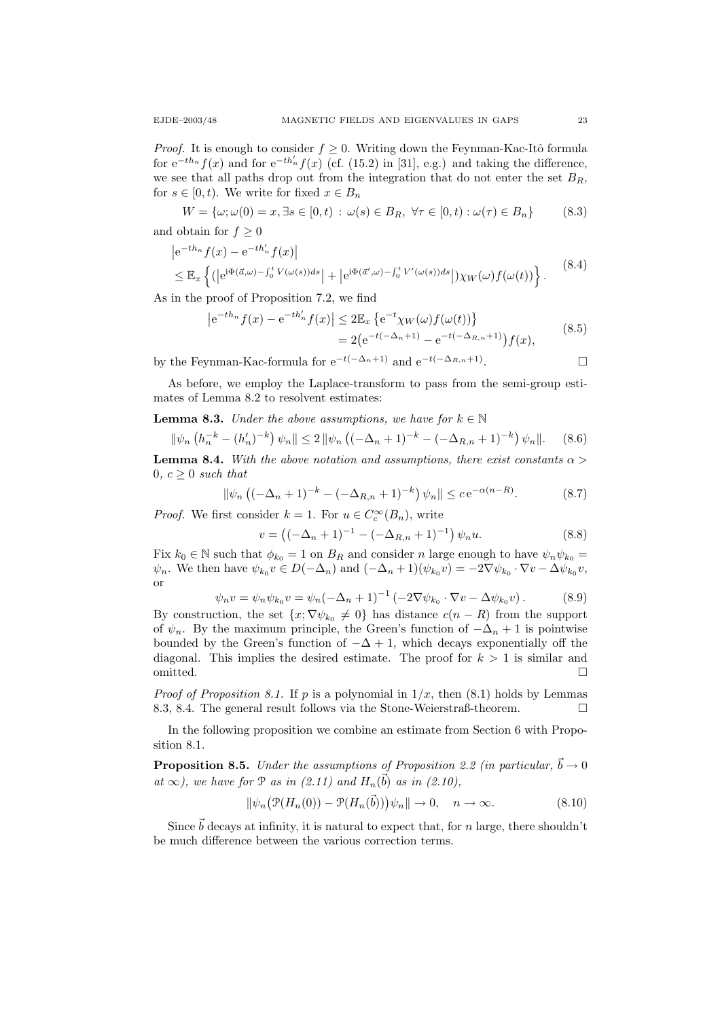*Proof.* It is enough to consider  $f \geq 0$ . Writing down the Feynman-Kac-Itô formula for  $e^{-th_n} f(x)$  and for  $e^{-th'_n} f(x)$  (cf. (15.2) in [31], e.g.) and taking the difference, we see that all paths drop out from the integration that do not enter the set  $B_R$ , for  $s \in [0, t)$ . We write for fixed  $x \in B_n$ 

$$
W = \{\omega; \omega(0) = x, \exists s \in [0, t) : \omega(s) \in B_R, \forall \tau \in [0, t) : \omega(\tau) \in B_n\}
$$
(8.3)

and obtain for  $f \geq 0$ 

$$
\left| e^{-th_n} f(x) - e^{-th'_n} f(x) \right|
$$
  
\n
$$
\leq \mathbb{E}_x \left\{ (|e^{i\Phi(\vec{a}, \omega) - \int_0^t V(\omega(s)) ds}| + |e^{i\Phi(\vec{a}', \omega) - \int_0^t V'(\omega(s)) ds}|) \chi_W(\omega) f(\omega(t)) \right\}.
$$
\n(8.4)

As in the proof of Proposition 7.2, we find

$$
\left| e^{-th_n} f(x) - e^{-th'_n} f(x) \right| \le 2 \mathbb{E}_x \left\{ e^{-t} \chi_W(\omega) f(\omega(t)) \right\} = 2 \left( e^{-t(-\Delta_n + 1)} - e^{-t(-\Delta_{R,n} + 1)} \right) f(x),
$$
(8.5)

by the Feynman-Kac-formula for  $e^{-t(-\Delta_n+1)}$  and  $e^{-t(-\Delta_{R,n}+1)}$ . . — Первый проста в сервести в сервести в сервести в сервести в сервести в сервести в сервести в сервести в се<br>В сервести в сервести в сервести в сервести в сервести в сервести в сервести в сервести в сервести в сервести

As before, we employ the Laplace-transform to pass from the semi-group estimates of Lemma 8.2 to resolvent estimates:

### **Lemma 8.3.** Under the above assumptions, we have for  $k \in \mathbb{N}$

$$
\|\psi_n\left(h_n^{-k} - (h'_n)^{-k}\right)\psi_n\| \le 2 \|\psi_n\left((-\Delta_n + 1)^{-k} - (-\Delta_{R,n} + 1)^{-k}\right)\psi_n\|.\tag{8.6}
$$

**Lemma 8.4.** With the above notation and assumptions, there exist constants  $\alpha$  $0, c \geq 0$  such that

$$
\|\psi_n\left((-\Delta_n+1)^{-k}-(-\Delta_{R,n}+1)^{-k}\right)\psi_n\| \le c e^{-\alpha(n-R)}.\tag{8.7}
$$

*Proof.* We first consider  $k = 1$ . For  $u \in C_c^{\infty}(B_n)$ , write

$$
v = \left( (-\Delta_n + 1)^{-1} - (-\Delta_{R,n} + 1)^{-1} \right) \psi_n u.
$$
 (8.8)

Fix  $k_0 \in \mathbb{N}$  such that  $\phi_{k_0} = 1$  on  $B_R$  and consider n large enough to have  $\psi_n \psi_{k_0} =$  $\psi_n$ . We then have  $\psi_{k_0} v \in D(-\Delta_n)$  and  $(-\Delta_n+1)(\psi_{k_0} v) = -2\nabla \psi_{k_0} \cdot \nabla v - \Delta \psi_{k_0} v$ , or

$$
\psi_n v = \psi_n \psi_{k_0} v = \psi_n (-\Delta_n + 1)^{-1} \left( -2\nabla \psi_{k_0} \cdot \nabla v - \Delta \psi_{k_0} v \right). \tag{8.9}
$$

By construction, the set  $\{x; \nabla \psi_{k_0} \neq 0\}$  has distance  $c(n-R)$  from the support of  $\psi_n$ . By the maximum principle, the Green's function of  $-\Delta_n + 1$  is pointwise bounded by the Green's function of  $-\Delta + 1$ , which decays exponentially off the diagonal. This implies the desired estimate. The proof for  $k > 1$  is similar and omitted.  $\Box$ 

*Proof of Proposition 8.1.* If p is a polynomial in  $1/x$ , then  $(8.1)$  holds by Lemmas 8.3, 8.4. The general result follows via the Stone-Weierstraß-theorem.

In the following proposition we combine an estimate from Section 6 with Proposition 8.1.

**Proposition 8.5.** Under the assumptions of Proposition 2.2 (in particular,  $\vec{b} \rightarrow 0$ at  $\infty$ ), we have for  $P$  as in (2.11) and  $H_n(\vec{b})$  as in (2.10),

$$
\|\psi_n(\mathcal{P}(H_n(0)) - \mathcal{P}(H_n(\vec{b})))\psi_n\| \to 0, \quad n \to \infty.
$$
 (8.10)

Since  $\vec{b}$  decays at infinity, it is natural to expect that, for n large, there shouldn't be much difference between the various correction terms.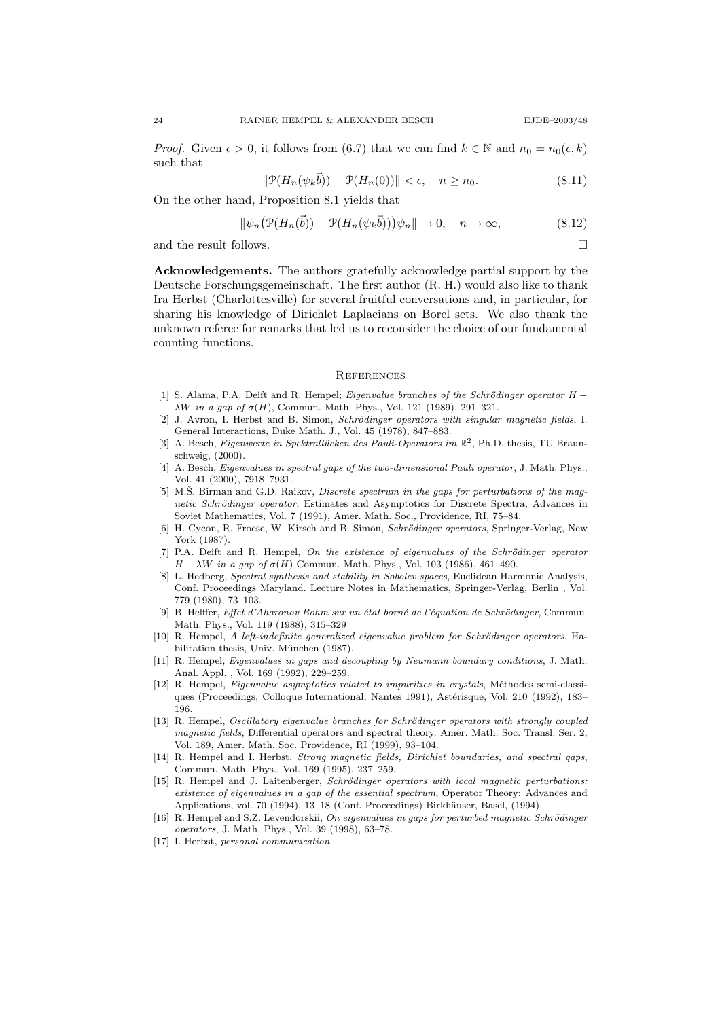*Proof.* Given  $\epsilon > 0$ , it follows from (6.7) that we can find  $k \in \mathbb{N}$  and  $n_0 = n_0(\epsilon, k)$ such that

$$
\|\mathcal{P}(H_n(\psi_k \vec{b})) - \mathcal{P}(H_n(0))\| < \epsilon, \quad n \ge n_0.
$$
\n(8.11)

On the other hand, Proposition 8.1 yields that

$$
\|\psi_n(\mathcal{P}(H_n(\vec{b})) - \mathcal{P}(H_n(\psi_k \vec{b})))\psi_n\| \to 0, \quad n \to \infty,
$$
\n(8.12)

and the result follows.  $\hfill \square$ 

Acknowledgements. The authors gratefully acknowledge partial support by the Deutsche Forschungsgemeinschaft. The first author (R. H.) would also like to thank Ira Herbst (Charlottesville) for several fruitful conversations and, in particular, for sharing his knowledge of Dirichlet Laplacians on Borel sets. We also thank the unknown referee for remarks that led us to reconsider the choice of our fundamental counting functions.

#### **REFERENCES**

- [1] S. Alama, P.A. Deift and R. Hempel; Eigenvalue branches of the Schrödinger operator H − λW in a qap of  $σ(H)$ , Commun. Math. Phys., Vol. 121 (1989), 291–321.
- [2] J. Avron, I. Herbst and B. Simon, Schrödinger operators with singular magnetic fields, I. General Interactions, Duke Math. J., Vol. 45 (1978), 847–883.
- [3] A. Besch, Eigenwerte in Spektrallücken des Pauli-Operators im  $\mathbb{R}^2$ , Ph.D. thesis, TU Braunschweig, (2000).
- [4] A. Besch, Eigenvalues in spectral gaps of the two-dimensional Pauli operator, J. Math. Phys., Vol. 41 (2000), 7918–7931.
- [5] M.S. Birman and G.D. Raikov, *Discrete spectrum in the gaps for perturbations of the mag*netic Schrödinger operator, Estimates and Asymptotics for Discrete Spectra, Advances in Soviet Mathematics, Vol. 7 (1991), Amer. Math. Soc., Providence, RI, 75–84.
- [6] H. Cycon, R. Froese, W. Kirsch and B. Simon, Schrödinger operators, Springer-Verlag, New York (1987).
- $[7]$  P.A. Deift and R. Hempel, On the existence of eigenvalues of the Schrödinger operator  $H - \lambda W$  in a gap of  $\sigma(H)$  Commun. Math. Phys., Vol. 103 (1986), 461–490.
- [8] L. Hedberg, Spectral synthesis and stability in Sobolev spaces, Euclidean Harmonic Analysis, Conf. Proceedings Maryland. Lecture Notes in Mathematics, Springer-Verlag, Berlin , Vol. 779 (1980), 73–103.
- [9] B. Helffer, Effet d'Aharonov Bohm sur un état borné de l'équation de Schrödinger, Commun. Math. Phys., Vol. 119 (1988), 315–329
- [10] R. Hempel, A left-indefinite generalized eigenvalue problem for Schrödinger operators, Habilitation thesis, Univ. München (1987).
- [11] R. Hempel, Eigenvalues in gaps and decoupling by Neumann boundary conditions, J. Math. Anal. Appl. , Vol. 169 (1992), 229–259.
- [12] R. Hempel, *Eigenvalue asymptotics related to impurities in crystals*, Méthodes semi-classiques (Proceedings, Colloque International, Nantes 1991), Astérisque, Vol. 210 (1992), 183– 196.
- [13] R. Hempel, Oscillatory eigenvalue branches for Schrödinger operators with strongly coupled magnetic fields, Differential operators and spectral theory. Amer. Math. Soc. Transl. Ser. 2, Vol. 189, Amer. Math. Soc. Providence, RI (1999), 93–104.
- [14] R. Hempel and I. Herbst, Strong magnetic fields, Dirichlet boundaries, and spectral gaps, Commun. Math. Phys., Vol. 169 (1995), 237–259.
- [15] R. Hempel and J. Laitenberger, Schrödinger operators with local magnetic perturbations: existence of eigenvalues in a gap of the essential spectrum, Operator Theory: Advances and Applications, vol. 70 (1994), 13–18 (Conf. Proceedings) Birkhäuser, Basel, (1994).
- [16] R. Hempel and S.Z. Levendorskii, On eigenvalues in gaps for perturbed magnetic Schrödinger operators, J. Math. Phys., Vol. 39 (1998), 63–78.
- [17] I. Herbst, personal communication